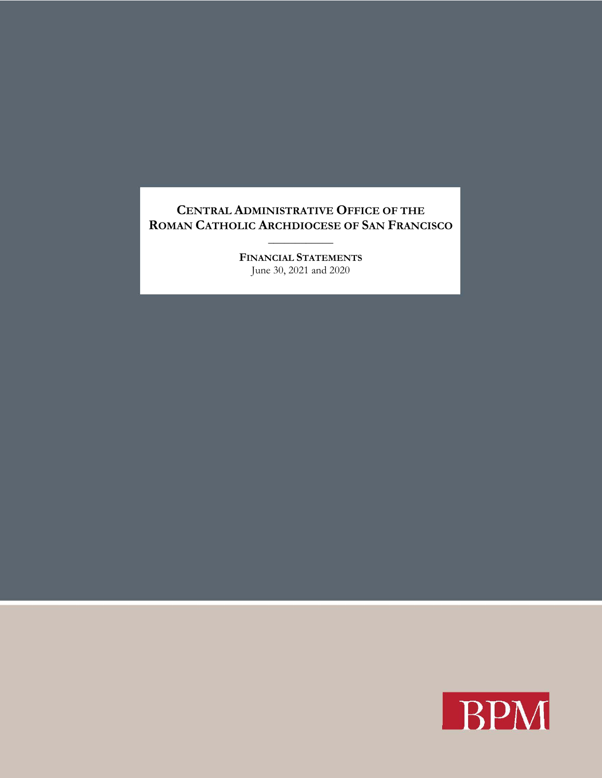**FINANCIAL STATEMENTS** June 30, 2021 and 2020

\_\_\_\_\_\_\_\_\_\_\_\_

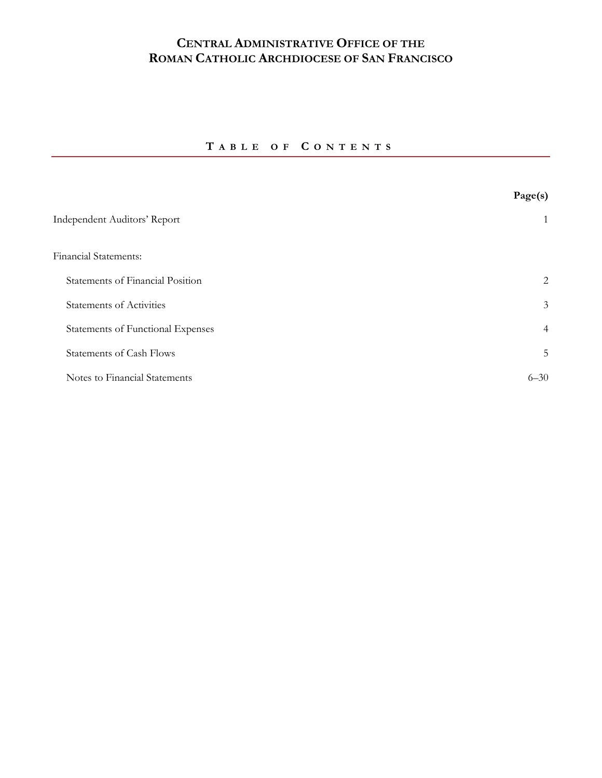|                                   | Page(s)        |
|-----------------------------------|----------------|
| Independent Auditors' Report      | 1              |
| <b>Financial Statements:</b>      |                |
| Statements of Financial Position  | 2              |
| <b>Statements of Activities</b>   | 3              |
| Statements of Functional Expenses | $\overline{4}$ |
| <b>Statements of Cash Flows</b>   | 5              |
| Notes to Financial Statements     | $6 - 30$       |

# **T ABLE OF C ONTENTS**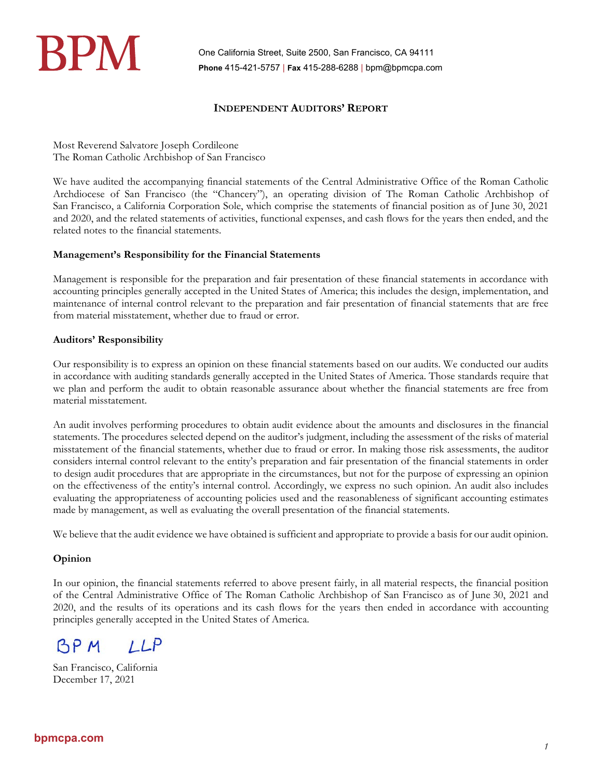

One California Street, Suite 2500, San Francisco, CA 94111 **Phone** 415-421-5757 | **Fax** 415-288-6288 | bpm@bpmcpa.com

# **INDEPENDENT AUDITORS' REPORT**

Most Reverend Salvatore Joseph Cordileone The Roman Catholic Archbishop of San Francisco

We have audited the accompanying financial statements of the Central Administrative Office of the Roman Catholic Archdiocese of San Francisco (the "Chancery"), an operating division of The Roman Catholic Archbishop of San Francisco, a California Corporation Sole, which comprise the statements of financial position as of June 30, 2021 and 2020, and the related statements of activities, functional expenses, and cash flows for the years then ended, and the related notes to the financial statements.

## **Management's Responsibility for the Financial Statements**

Management is responsible for the preparation and fair presentation of these financial statements in accordance with accounting principles generally accepted in the United States of America; this includes the design, implementation, and maintenance of internal control relevant to the preparation and fair presentation of financial statements that are free from material misstatement, whether due to fraud or error.

# **Auditors' Responsibility**

Our responsibility is to express an opinion on these financial statements based on our audits. We conducted our audits in accordance with auditing standards generally accepted in the United States of America. Those standards require that we plan and perform the audit to obtain reasonable assurance about whether the financial statements are free from material misstatement.

An audit involves performing procedures to obtain audit evidence about the amounts and disclosures in the financial statements. The procedures selected depend on the auditor's judgment, including the assessment of the risks of material misstatement of the financial statements, whether due to fraud or error. In making those risk assessments, the auditor considers internal control relevant to the entity's preparation and fair presentation of the financial statements in order to design audit procedures that are appropriate in the circumstances, but not for the purpose of expressing an opinion on the effectiveness of the entity's internal control. Accordingly, we express no such opinion. An audit also includes evaluating the appropriateness of accounting policies used and the reasonableness of significant accounting estimates made by management, as well as evaluating the overall presentation of the financial statements.

We believe that the audit evidence we have obtained is sufficient and appropriate to provide a basis for our audit opinion.

# **Opinion**

In our opinion, the financial statements referred to above present fairly, in all material respects, the financial position of the Central Administrative Office of The Roman Catholic Archbishop of San Francisco as of June 30, 2021 and 2020, and the results of its operations and its cash flows for the years then ended in accordance with accounting principles generally accepted in the United States of America.

BPM

San Francisco, California December 17, 2021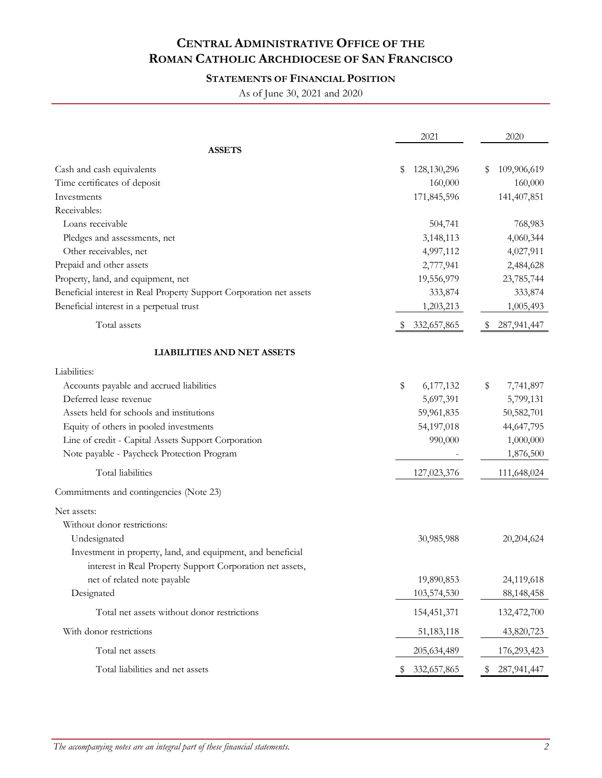# **STATEMENTS OF FINANCIAL POSITION**

As of June 30, 2021 and 2020

|                                                                     | 2021                | 2020               |
|---------------------------------------------------------------------|---------------------|--------------------|
| <b>ASSETS</b>                                                       |                     |                    |
| Cash and cash equivalents                                           | \$<br>128, 130, 296 | 109,906,619<br>S   |
| Time certificates of deposit                                        | 160,000             | 160,000            |
| Investments                                                         | 171,845,596         | 141,407,851        |
| Receivables:                                                        |                     |                    |
| Loans receivable                                                    | 504,741             | 768,983            |
| Pledges and assessments, net                                        | 3,148,113           | 4,060,344          |
| Other receivables, net                                              | 4,997,112           | 4,027,911          |
| Prepaid and other assets                                            | 2,777,941           | 2,484,628          |
| Property, land, and equipment, net                                  | 19,556,979          | 23,785,744         |
| Beneficial interest in Real Property Support Corporation net assets | 333,874             | 333,874            |
| Beneficial interest in a perpetual trust                            | 1,203,213           | 1,005,493          |
| Total assets                                                        | 332, 657, 865       | 287, 941, 447<br>S |
| <b>LIABILITIES AND NET ASSETS</b>                                   |                     |                    |
| Liabilities:                                                        |                     |                    |
| Accounts payable and accrued liabilities                            | \$<br>6,177,132     | \$<br>7,741,897    |
| Deferred lease revenue                                              | 5,697,391           | 5,799,131          |
| Assets held for schools and institutions                            | 59,961,835          | 50,582,701         |
| Equity of others in pooled investments                              | 54,197,018          | 44,647,795         |
| Line of credit - Capital Assets Support Corporation                 | 990,000             | 1,000,000          |
| Note payable - Paycheck Protection Program                          |                     | 1,876,500          |
| Total liabilities                                                   | 127,023,376         | 111,648,024        |
| Commitments and contingencies (Note 23)                             |                     |                    |
| Net assets:                                                         |                     |                    |
| Without donor restrictions:                                         |                     |                    |
| Undesignated                                                        | 30,985,988          | 20,204,624         |
| Investment in property, land, and equipment, and beneficial         |                     |                    |
| interest in Real Property Support Corporation net assets,           |                     |                    |
| net of related note payable                                         | 19,890,853          | 24,119,618         |
| Designated                                                          | 103,574,530         | 88,148,458         |
| Total net assets without donor restrictions                         | 154,451,371         | 132,472,700        |
| With donor restrictions                                             | 51, 183, 118        | 43,820,723         |
| Total net assets                                                    | 205, 634, 489       | 176,293,423        |
| Total liabilities and net assets                                    | \$<br>332,657,865   | 287,941,447        |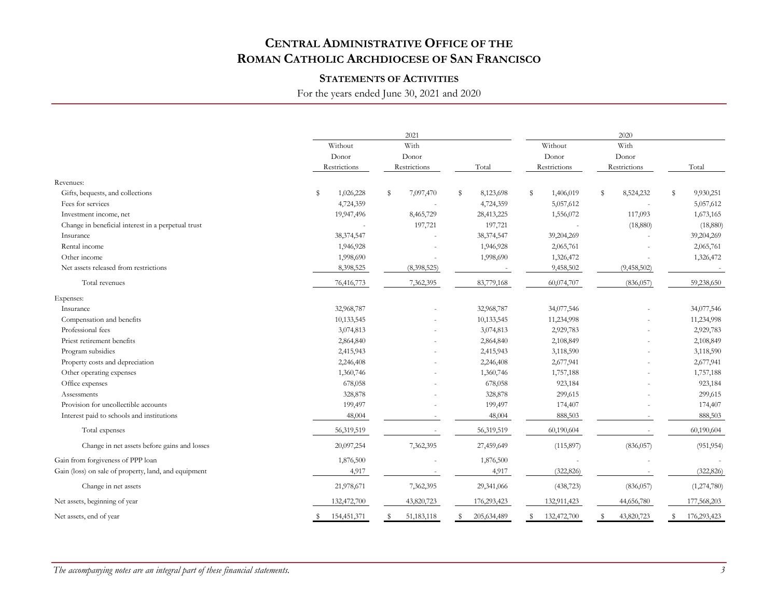### **STATEMENTS OF ACTIVITIES**

For the years ended June 30, 2021 and 2020

|                                                      | 2021              |                    |                  | 2020              |                 |                   |  |
|------------------------------------------------------|-------------------|--------------------|------------------|-------------------|-----------------|-------------------|--|
|                                                      | Without           | With<br>Donor      |                  | Without           | With            |                   |  |
|                                                      | Donor             |                    |                  | Donor             | Donor           |                   |  |
|                                                      | Restrictions      | Restrictions       | Total            | Restrictions      | Restrictions    | Total             |  |
| Revenues:                                            |                   |                    |                  |                   |                 |                   |  |
| Gifts, bequests, and collections                     | \$<br>1,026,228   | \$<br>7,097,470    | \$<br>8,123,698  | \$<br>1,406,019   | 8,524,232<br>\$ | 9,930,251<br>s    |  |
| Fees for services                                    | 4,724,359         |                    | 4,724,359        | 5,057,612         |                 | 5,057,612         |  |
| Investment income, net                               | 19,947,496        | 8,465,729          | 28,413,225       | 1,556,072         | 117,093         | 1,673,165         |  |
| Change in beneficial interest in a perpetual trust   |                   | 197,721            | 197,721          |                   | (18,880)        | (18,880)          |  |
| Insurance                                            | 38,374,547        |                    | 38,374,547       | 39,204,269        |                 | 39,204,269        |  |
| Rental income                                        | 1,946,928         |                    | 1,946,928        | 2,065,761         |                 | 2,065,761         |  |
| Other income                                         | 1,998,690         |                    | 1,998,690        | 1,326,472         |                 | 1,326,472         |  |
| Net assets released from restrictions                | 8,398,525         | (8,398,525)        |                  | 9,458,502         | (9,458,502)     | $\sim$            |  |
| Total revenues                                       | 76,416,773        | 7,362,395          | 83,779,168       | 60,074,707        | (836,057)       | 59,238,650        |  |
| Expenses:                                            |                   |                    |                  |                   |                 |                   |  |
| Insurance                                            | 32,968,787        |                    | 32,968,787       | 34,077,546        |                 | 34,077,546        |  |
| Compensation and benefits                            | 10,133,545        |                    | 10,133,545       | 11,234,998        |                 | 11,234,998        |  |
| Professional fees                                    | 3,074,813         |                    | 3,074,813        | 2,929,783         |                 | 2,929,783         |  |
| Priest retirement benefits                           | 2,864,840         |                    | 2,864,840        | 2,108,849         |                 | 2,108,849         |  |
| Program subsidies                                    | 2,415,943         |                    | 2,415,943        | 3,118,590         |                 | 3,118,590         |  |
| Property costs and depreciation                      | 2,246,408         |                    | 2,246,408        | 2,677,941         |                 | 2,677,941         |  |
| Other operating expenses                             | 1,360,746         |                    | 1,360,746        | 1,757,188         |                 | 1,757,188         |  |
| Office expenses                                      | 678,058           |                    | 678,058          | 923,184           |                 | 923,184           |  |
| Assessments                                          | 328,878           |                    | 328,878          | 299,615           |                 | 299,615           |  |
| Provision for uncollectible accounts                 | 199,497           |                    | 199,497          | 174,407           |                 | 174,407           |  |
| Interest paid to schools and institutions            | 48,004            |                    | 48,004           | 888,503           |                 | 888,503           |  |
| Total expenses                                       | 56,319,519        |                    | 56,319,519       | 60,190,604        |                 | 60,190,604        |  |
| Change in net assets before gains and losses         | 20,097,254        | 7,362,395          | 27,459,649       | (115, 897)        | (836,057)       | (951, 954)        |  |
| Gain from forgiveness of PPP loan                    | 1,876,500         |                    | 1,876,500        |                   |                 |                   |  |
| Gain (loss) on sale of property, land, and equipment | 4,917             |                    | 4,917            | (322, 826)        |                 | (322, 826)        |  |
| Change in net assets                                 | 21,978,671        | 7,362,395          | 29,341,066       | (438, 723)        | (836,057)       | (1,274,780)       |  |
| Net assets, beginning of year                        | 132,472,700       | 43,820,723         | 176,293,423      | 132,911,423       | 44,656,780      | 177,568,203       |  |
| Net assets, end of year                              | 154,451,371<br>s. | 51, 183, 118<br>s. | 205,634,489<br>s | 132,472,700<br>S. | 43,820,723<br>S | 176,293,423<br>S. |  |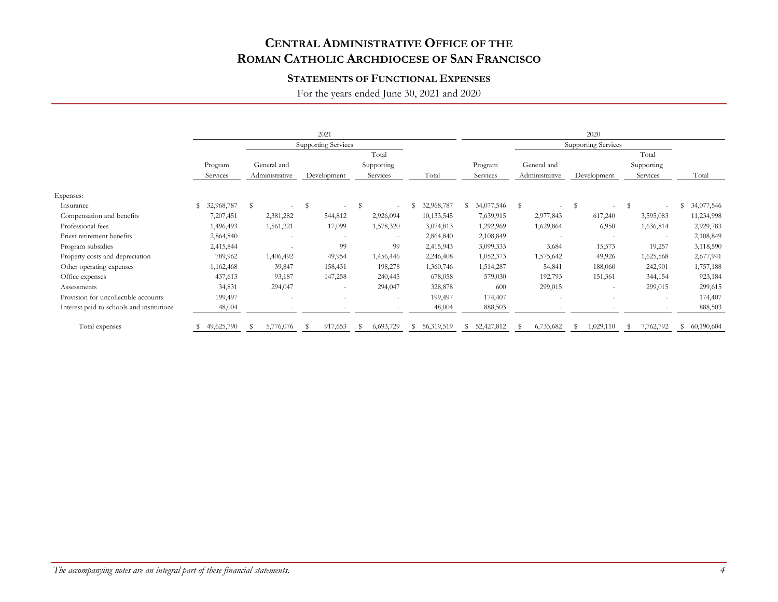# **STATEMENTS OF FUNCTIONAL EXPENSES**

For the years ended June 30, 2021 and 2020

|                                           | 2021             |                                                          |              |                | 2020             |              |                |                |            |                  |
|-------------------------------------------|------------------|----------------------------------------------------------|--------------|----------------|------------------|--------------|----------------|----------------|------------|------------------|
|                                           |                  | <b>Supporting Services</b><br><b>Supporting Services</b> |              |                |                  |              |                |                |            |                  |
|                                           |                  |                                                          |              | Total          |                  |              |                |                | Total      |                  |
|                                           | Program          | General and                                              |              | Supporting     |                  | Program      | General and    |                | Supporting |                  |
|                                           | Services         | Administrative                                           | Development  | Services       | Total            | Services     | Administrative | Development    | Services   | Total            |
| Expenses:                                 |                  |                                                          |              |                |                  |              |                |                |            |                  |
| Insurance                                 | 32,968,787<br>\$ | s                                                        | \$           | S<br>$\sim$    | 32,968,787<br>S  | \$34,077,546 | S<br>$\sim$    | S<br>٠.        | $\sim$     | 34,077,546<br>S. |
| Compensation and benefits                 | 7,207,451        | 2,381,282                                                | 544,812      | 2,926,094      | 10,133,545       | 7,639,915    | 2,977,843      | 617,240        | 3,595,083  | 11,234,998       |
| Professional fees                         | 1,496,493        | 1,561,221                                                | 17,099       | 1,578,320      | 3,074,813        | 1,292,969    | 1,629,864      | 6,950          | 1,636,814  | 2,929,783        |
| Priest retirement benefits                | 2,864,840        |                                                          | $\sim$       | ٠              | 2,864,840        | 2,108,849    | $\blacksquare$ |                |            | 2,108,849        |
| Program subsidies                         | 2,415,844        |                                                          | 99           | 99             | 2,415,943        | 3,099,333    | 3,684          | 15,573         | 19,257     | 3,118,590        |
| Property costs and depreciation           | 789,962          | 1,406,492                                                | 49,954       | 1,456,446      | 2,246,408        | 1,052,373    | 1,575,642      | 49,926         | 1,625,568  | 2,677,941        |
| Other operating expenses                  | 1,162,468        | 39,847                                                   | 158,431      | 198,278        | 1,360,746        | 1,514,287    | 54,841         | 188,060        | 242,901    | 1,757,188        |
| Office expenses                           | 437,613          | 93,187                                                   | 147,258      | 240,445        | 678,058          | 579,030      | 192,793        | 151,361        | 344,154    | 923,184          |
| Assessments                               | 34,831           | 294,047                                                  | $\sim$       | 294,047        | 328,878          | 600          | 299,015        | ٠              | 299,015    | 299,615          |
| Provision for uncollectible accounts      | 199,497          | <b>COL</b>                                               |              | $\sim$         | 199,497          | 174,407      | $\sim$         |                | $\sim$     | 174,407          |
| Interest paid to schools and institutions | 48,004           |                                                          |              |                | 48,004           | 888,503      |                |                |            | 888,503          |
| Total expenses                            | 49,625,790       | 5,776,076                                                | 917,653<br>S | 6,693,729<br>S | 56,319,519<br>£. | \$52,427,812 | 6,733,682      | 1,029,110<br>s | 7,762,792  | 60,190,604<br>S. |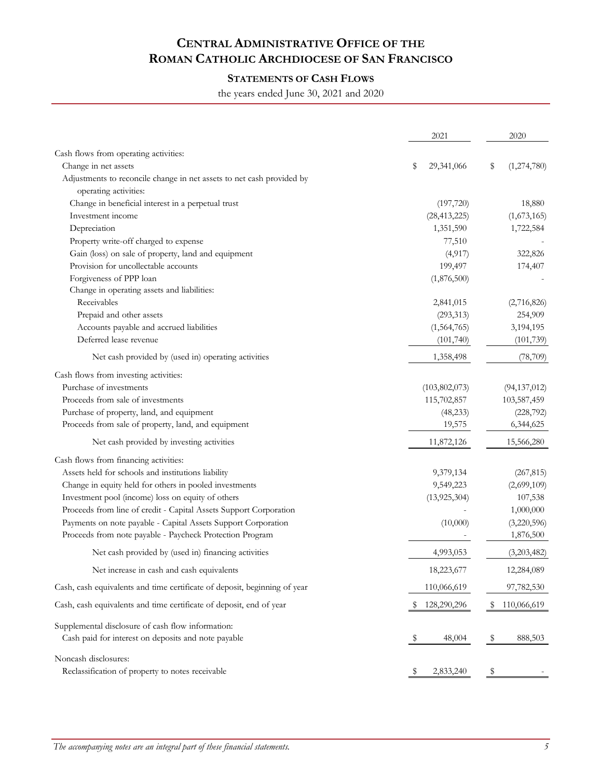# **STATEMENTS OF CASH FLOWS**

the years ended June 30, 2021 and 2020

|                                                                           | 2021             | 2020              |  |
|---------------------------------------------------------------------------|------------------|-------------------|--|
| Cash flows from operating activities:                                     |                  |                   |  |
| Change in net assets                                                      | \$<br>29,341,066 | \$<br>(1,274,780) |  |
| Adjustments to reconcile change in net assets to net cash provided by     |                  |                   |  |
| operating activities:                                                     |                  |                   |  |
| Change in beneficial interest in a perpetual trust                        | (197, 720)       | 18,880            |  |
| Investment income                                                         | (28, 413, 225)   | (1,673,165)       |  |
| Depreciation                                                              | 1,351,590        | 1,722,584         |  |
| Property write-off charged to expense                                     | 77,510           |                   |  |
| Gain (loss) on sale of property, land and equipment                       | (4, 917)         | 322,826           |  |
| Provision for uncollectable accounts                                      | 199,497          | 174,407           |  |
| Forgiveness of PPP loan                                                   | (1,876,500)      |                   |  |
| Change in operating assets and liabilities:                               |                  |                   |  |
| Receivables                                                               | 2,841,015        | (2,716,826)       |  |
| Prepaid and other assets                                                  | (293, 313)       | 254,909           |  |
| Accounts payable and accrued liabilities                                  | (1, 564, 765)    | 3,194,195         |  |
| Deferred lease revenue                                                    | (101,740)        | (101, 739)        |  |
| Net cash provided by (used in) operating activities                       | 1,358,498        | (78, 709)         |  |
| Cash flows from investing activities:                                     |                  |                   |  |
| Purchase of investments                                                   | (103, 802, 073)  | (94, 137, 012)    |  |
| Proceeds from sale of investments                                         | 115,702,857      | 103,587,459       |  |
| Purchase of property, land, and equipment                                 | (48, 233)        | (228, 792)        |  |
| Proceeds from sale of property, land, and equipment                       | 19,575           | 6,344,625         |  |
| Net cash provided by investing activities                                 | 11,872,126       | 15,566,280        |  |
| Cash flows from financing activities:                                     |                  |                   |  |
| Assets held for schools and institutions liability                        | 9,379,134        | (267, 815)        |  |
| Change in equity held for others in pooled investments                    | 9,549,223        | (2,699,109)       |  |
| Investment pool (income) loss on equity of others                         | (13, 925, 304)   | 107,538           |  |
| Proceeds from line of credit - Capital Assets Support Corporation         |                  | 1,000,000         |  |
| Payments on note payable - Capital Assets Support Corporation             | (10,000)         | (3,220,596)       |  |
| Proceeds from note payable - Paycheck Protection Program                  |                  | 1,876,500         |  |
| Net cash provided by (used in) financing activities                       | 4,993,053        | (3,203,482)       |  |
| Net increase in cash and cash equivalents                                 | 18,223,677       | 12,284,089        |  |
| Cash, cash equivalents and time certificate of deposit, beginning of year | 110,066,619      | 97,782,530        |  |
| Cash, cash equivalents and time certificate of deposit, end of year       | 128,290,296<br>S | 110,066,619<br>\$ |  |
| Supplemental disclosure of cash flow information:                         |                  |                   |  |
| Cash paid for interest on deposits and note payable                       | 48,004<br>\$     | \$<br>888,503     |  |
| Noncash disclosures:                                                      |                  |                   |  |
| Reclassification of property to notes receivable                          | 2,833,240<br>S   | Ş                 |  |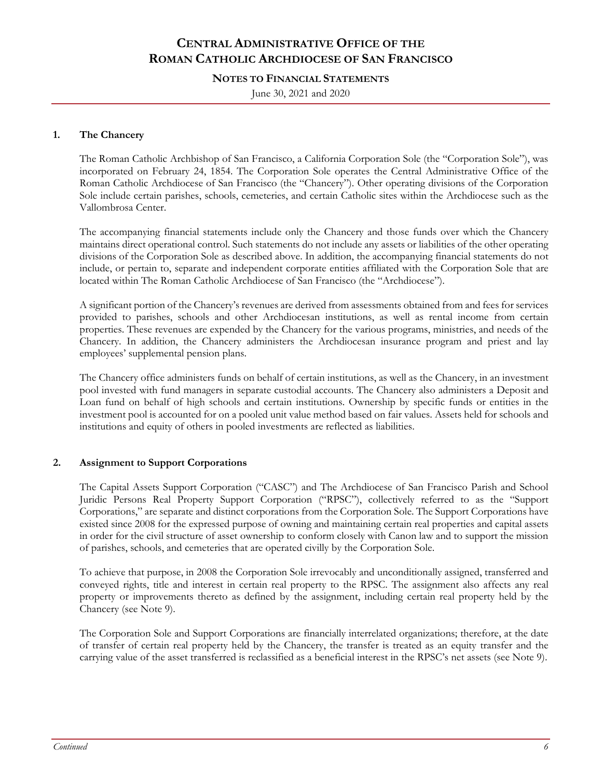## **NOTES TO FINANCIAL STATEMENTS**

June 30, 2021 and 2020

## **1. The Chancery**

The Roman Catholic Archbishop of San Francisco, a California Corporation Sole (the "Corporation Sole"), was incorporated on February 24, 1854. The Corporation Sole operates the Central Administrative Office of the Roman Catholic Archdiocese of San Francisco (the "Chancery"). Other operating divisions of the Corporation Sole include certain parishes, schools, cemeteries, and certain Catholic sites within the Archdiocese such as the Vallombrosa Center.

The accompanying financial statements include only the Chancery and those funds over which the Chancery maintains direct operational control. Such statements do not include any assets or liabilities of the other operating divisions of the Corporation Sole as described above. In addition, the accompanying financial statements do not include, or pertain to, separate and independent corporate entities affiliated with the Corporation Sole that are located within The Roman Catholic Archdiocese of San Francisco (the "Archdiocese").

A significant portion of the Chancery's revenues are derived from assessments obtained from and fees for services provided to parishes, schools and other Archdiocesan institutions, as well as rental income from certain properties. These revenues are expended by the Chancery for the various programs, ministries, and needs of the Chancery. In addition, the Chancery administers the Archdiocesan insurance program and priest and lay employees' supplemental pension plans.

The Chancery office administers funds on behalf of certain institutions, as well as the Chancery, in an investment pool invested with fund managers in separate custodial accounts. The Chancery also administers a Deposit and Loan fund on behalf of high schools and certain institutions. Ownership by specific funds or entities in the investment pool is accounted for on a pooled unit value method based on fair values. Assets held for schools and institutions and equity of others in pooled investments are reflected as liabilities.

# **2. Assignment to Support Corporations**

The Capital Assets Support Corporation ("CASC") and The Archdiocese of San Francisco Parish and School Juridic Persons Real Property Support Corporation ("RPSC"), collectively referred to as the "Support Corporations," are separate and distinct corporations from the Corporation Sole. The Support Corporations have existed since 2008 for the expressed purpose of owning and maintaining certain real properties and capital assets in order for the civil structure of asset ownership to conform closely with Canon law and to support the mission of parishes, schools, and cemeteries that are operated civilly by the Corporation Sole.

To achieve that purpose, in 2008 the Corporation Sole irrevocably and unconditionally assigned, transferred and conveyed rights, title and interest in certain real property to the RPSC. The assignment also affects any real property or improvements thereto as defined by the assignment, including certain real property held by the Chancery (see Note 9).

The Corporation Sole and Support Corporations are financially interrelated organizations; therefore, at the date of transfer of certain real property held by the Chancery, the transfer is treated as an equity transfer and the carrying value of the asset transferred is reclassified as a beneficial interest in the RPSC's net assets (see Note 9).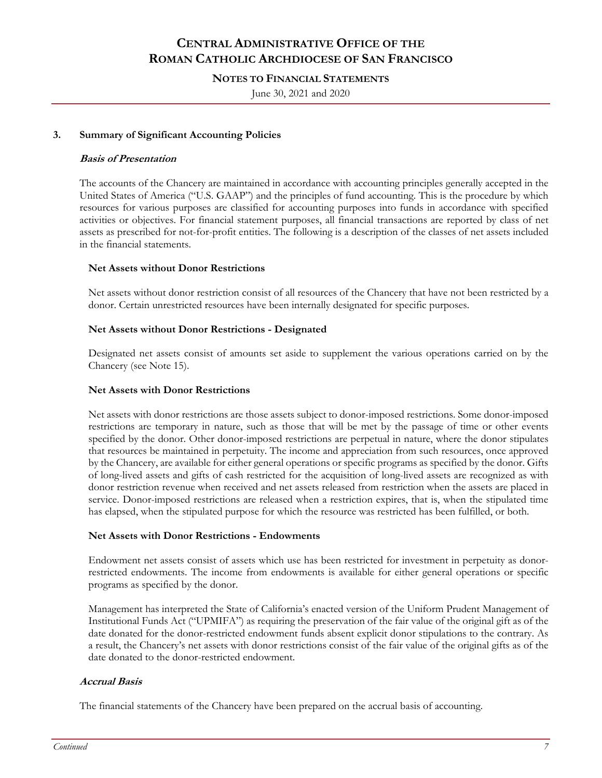**NOTES TO FINANCIAL STATEMENTS**

June 30, 2021 and 2020

# **3. Summary of Significant Accounting Policies**

### **Basis of Presentation**

The accounts of the Chancery are maintained in accordance with accounting principles generally accepted in the United States of America ("U.S. GAAP") and the principles of fund accounting. This is the procedure by which resources for various purposes are classified for accounting purposes into funds in accordance with specified activities or objectives. For financial statement purposes, all financial transactions are reported by class of net assets as prescribed for not-for-profit entities. The following is a description of the classes of net assets included in the financial statements.

## **Net Assets without Donor Restrictions**

Net assets without donor restriction consist of all resources of the Chancery that have not been restricted by a donor. Certain unrestricted resources have been internally designated for specific purposes.

## **Net Assets without Donor Restrictions - Designated**

Designated net assets consist of amounts set aside to supplement the various operations carried on by the Chancery (see Note 15).

### **Net Assets with Donor Restrictions**

Net assets with donor restrictions are those assets subject to donor-imposed restrictions. Some donor-imposed restrictions are temporary in nature, such as those that will be met by the passage of time or other events specified by the donor. Other donor-imposed restrictions are perpetual in nature, where the donor stipulates that resources be maintained in perpetuity. The income and appreciation from such resources, once approved by the Chancery, are available for either general operations or specific programs as specified by the donor. Gifts of long-lived assets and gifts of cash restricted for the acquisition of long-lived assets are recognized as with donor restriction revenue when received and net assets released from restriction when the assets are placed in service. Donor-imposed restrictions are released when a restriction expires, that is, when the stipulated time has elapsed, when the stipulated purpose for which the resource was restricted has been fulfilled, or both.

## **Net Assets with Donor Restrictions - Endowments**

Endowment net assets consist of assets which use has been restricted for investment in perpetuity as donorrestricted endowments. The income from endowments is available for either general operations or specific programs as specified by the donor.

Management has interpreted the State of California's enacted version of the Uniform Prudent Management of Institutional Funds Act ("UPMIFA") as requiring the preservation of the fair value of the original gift as of the date donated for the donor-restricted endowment funds absent explicit donor stipulations to the contrary. As a result, the Chancery's net assets with donor restrictions consist of the fair value of the original gifts as of the date donated to the donor-restricted endowment.

# **Accrual Basis**

The financial statements of the Chancery have been prepared on the accrual basis of accounting.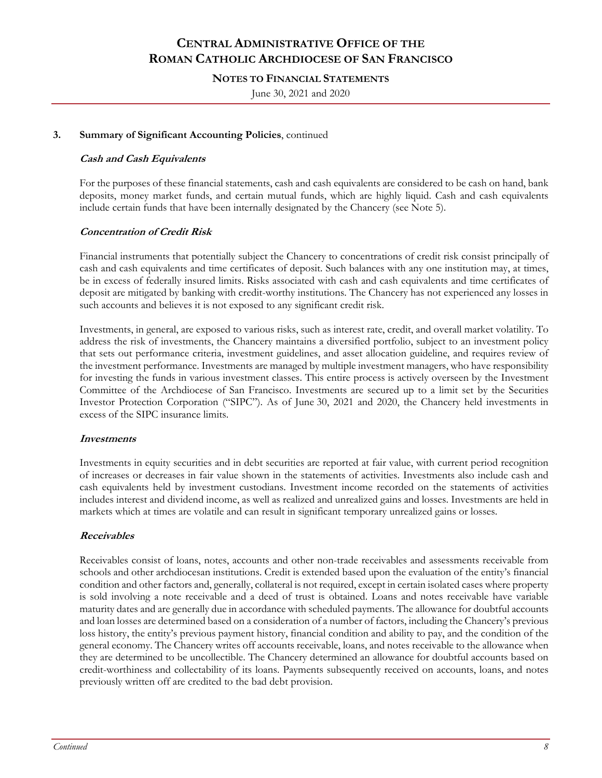**NOTES TO FINANCIAL STATEMENTS**

June 30, 2021 and 2020

## **3. Summary of Significant Accounting Policies**, continued

## **Cash and Cash Equivalents**

For the purposes of these financial statements, cash and cash equivalents are considered to be cash on hand, bank deposits, money market funds, and certain mutual funds, which are highly liquid. Cash and cash equivalents include certain funds that have been internally designated by the Chancery (see Note 5).

## **Concentration of Credit Risk**

Financial instruments that potentially subject the Chancery to concentrations of credit risk consist principally of cash and cash equivalents and time certificates of deposit. Such balances with any one institution may, at times, be in excess of federally insured limits. Risks associated with cash and cash equivalents and time certificates of deposit are mitigated by banking with credit-worthy institutions. The Chancery has not experienced any losses in such accounts and believes it is not exposed to any significant credit risk.

Investments, in general, are exposed to various risks, such as interest rate, credit, and overall market volatility. To address the risk of investments, the Chancery maintains a diversified portfolio, subject to an investment policy that sets out performance criteria, investment guidelines, and asset allocation guideline, and requires review of the investment performance. Investments are managed by multiple investment managers, who have responsibility for investing the funds in various investment classes. This entire process is actively overseen by the Investment Committee of the Archdiocese of San Francisco. Investments are secured up to a limit set by the Securities Investor Protection Corporation ("SIPC"). As of June 30, 2021 and 2020, the Chancery held investments in excess of the SIPC insurance limits.

# **Investments**

Investments in equity securities and in debt securities are reported at fair value, with current period recognition of increases or decreases in fair value shown in the statements of activities. Investments also include cash and cash equivalents held by investment custodians. Investment income recorded on the statements of activities includes interest and dividend income, as well as realized and unrealized gains and losses. Investments are held in markets which at times are volatile and can result in significant temporary unrealized gains or losses.

#### **Receivables**

Receivables consist of loans, notes, accounts and other non-trade receivables and assessments receivable from schools and other archdiocesan institutions. Credit is extended based upon the evaluation of the entity's financial condition and other factors and, generally, collateral is not required, except in certain isolated cases where property is sold involving a note receivable and a deed of trust is obtained. Loans and notes receivable have variable maturity dates and are generally due in accordance with scheduled payments. The allowance for doubtful accounts and loan losses are determined based on a consideration of a number of factors, including the Chancery's previous loss history, the entity's previous payment history, financial condition and ability to pay, and the condition of the general economy. The Chancery writes off accounts receivable, loans, and notes receivable to the allowance when they are determined to be uncollectible. The Chancery determined an allowance for doubtful accounts based on credit-worthiness and collectability of its loans. Payments subsequently received on accounts, loans, and notes previously written off are credited to the bad debt provision.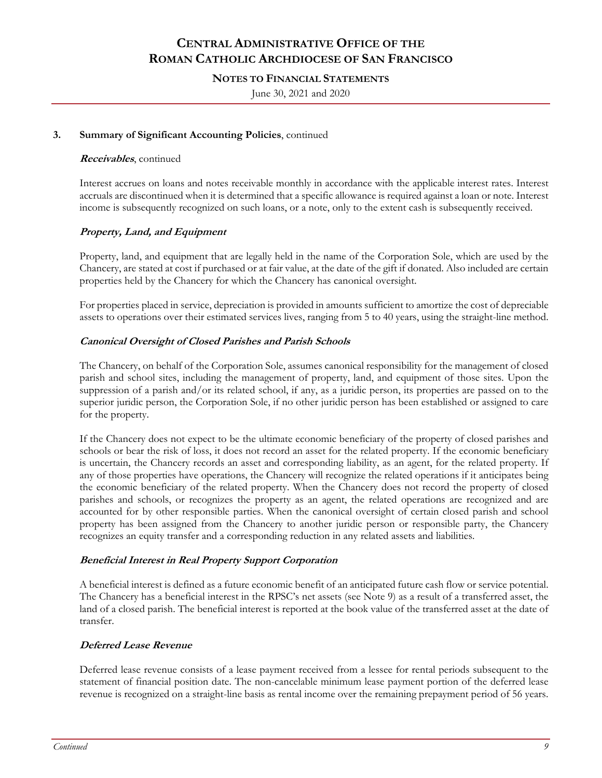#### **NOTES TO FINANCIAL STATEMENTS**

June 30, 2021 and 2020

### **3. Summary of Significant Accounting Policies**, continued

#### **Receivables**, continued

Interest accrues on loans and notes receivable monthly in accordance with the applicable interest rates. Interest accruals are discontinued when it is determined that a specific allowance is required against a loan or note. Interest income is subsequently recognized on such loans, or a note, only to the extent cash is subsequently received.

# **Property, Land, and Equipment**

Property, land, and equipment that are legally held in the name of the Corporation Sole, which are used by the Chancery, are stated at cost if purchased or at fair value, at the date of the gift if donated. Also included are certain properties held by the Chancery for which the Chancery has canonical oversight.

For properties placed in service, depreciation is provided in amounts sufficient to amortize the cost of depreciable assets to operations over their estimated services lives, ranging from 5 to 40 years, using the straight-line method.

## **Canonical Oversight of Closed Parishes and Parish Schools**

The Chancery, on behalf of the Corporation Sole, assumes canonical responsibility for the management of closed parish and school sites, including the management of property, land, and equipment of those sites. Upon the suppression of a parish and/or its related school, if any, as a juridic person, its properties are passed on to the superior juridic person, the Corporation Sole, if no other juridic person has been established or assigned to care for the property.

If the Chancery does not expect to be the ultimate economic beneficiary of the property of closed parishes and schools or bear the risk of loss, it does not record an asset for the related property. If the economic beneficiary is uncertain, the Chancery records an asset and corresponding liability, as an agent, for the related property. If any of those properties have operations, the Chancery will recognize the related operations if it anticipates being the economic beneficiary of the related property. When the Chancery does not record the property of closed parishes and schools, or recognizes the property as an agent, the related operations are recognized and are accounted for by other responsible parties. When the canonical oversight of certain closed parish and school property has been assigned from the Chancery to another juridic person or responsible party, the Chancery recognizes an equity transfer and a corresponding reduction in any related assets and liabilities.

# **Beneficial Interest in Real Property Support Corporation**

A beneficial interest is defined as a future economic benefit of an anticipated future cash flow or service potential. The Chancery has a beneficial interest in the RPSC's net assets (see Note 9) as a result of a transferred asset, the land of a closed parish. The beneficial interest is reported at the book value of the transferred asset at the date of transfer.

# **Deferred Lease Revenue**

Deferred lease revenue consists of a lease payment received from a lessee for rental periods subsequent to the statement of financial position date. The non-cancelable minimum lease payment portion of the deferred lease revenue is recognized on a straight-line basis as rental income over the remaining prepayment period of 56 years.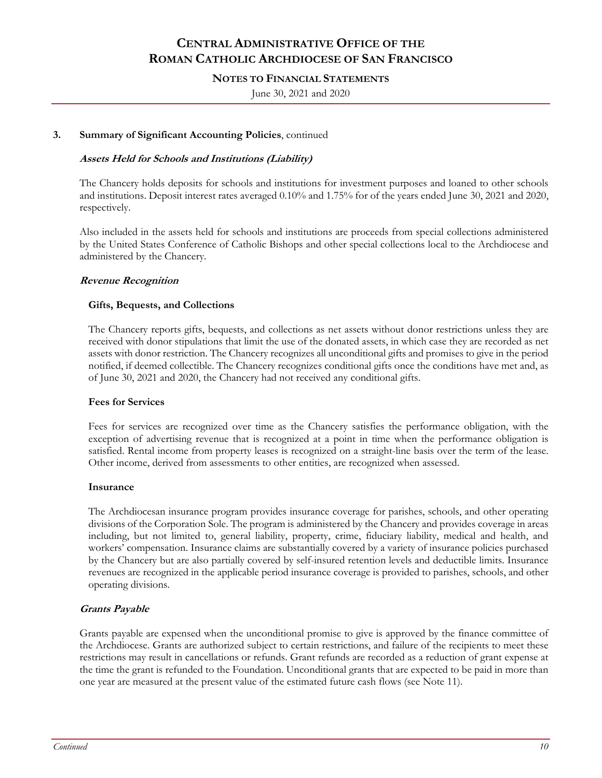**NOTES TO FINANCIAL STATEMENTS**

June 30, 2021 and 2020

## **3. Summary of Significant Accounting Policies**, continued

## **Assets Held for Schools and Institutions (Liability)**

The Chancery holds deposits for schools and institutions for investment purposes and loaned to other schools and institutions. Deposit interest rates averaged 0.10% and 1.75% for of the years ended June 30, 2021 and 2020, respectively.

Also included in the assets held for schools and institutions are proceeds from special collections administered by the United States Conference of Catholic Bishops and other special collections local to the Archdiocese and administered by the Chancery.

## **Revenue Recognition**

## **Gifts, Bequests, and Collections**

The Chancery reports gifts, bequests, and collections as net assets without donor restrictions unless they are received with donor stipulations that limit the use of the donated assets, in which case they are recorded as net assets with donor restriction. The Chancery recognizes all unconditional gifts and promises to give in the period notified, if deemed collectible. The Chancery recognizes conditional gifts once the conditions have met and, as of June 30, 2021 and 2020, the Chancery had not received any conditional gifts.

#### **Fees for Services**

Fees for services are recognized over time as the Chancery satisfies the performance obligation, with the exception of advertising revenue that is recognized at a point in time when the performance obligation is satisfied. Rental income from property leases is recognized on a straight-line basis over the term of the lease. Other income, derived from assessments to other entities, are recognized when assessed.

#### **Insurance**

The Archdiocesan insurance program provides insurance coverage for parishes, schools, and other operating divisions of the Corporation Sole. The program is administered by the Chancery and provides coverage in areas including, but not limited to, general liability, property, crime, fiduciary liability, medical and health, and workers' compensation. Insurance claims are substantially covered by a variety of insurance policies purchased by the Chancery but are also partially covered by self-insured retention levels and deductible limits. Insurance revenues are recognized in the applicable period insurance coverage is provided to parishes, schools, and other operating divisions.

# **Grants Payable**

Grants payable are expensed when the unconditional promise to give is approved by the finance committee of the Archdiocese. Grants are authorized subject to certain restrictions, and failure of the recipients to meet these restrictions may result in cancellations or refunds. Grant refunds are recorded as a reduction of grant expense at the time the grant is refunded to the Foundation. Unconditional grants that are expected to be paid in more than one year are measured at the present value of the estimated future cash flows (see Note 11).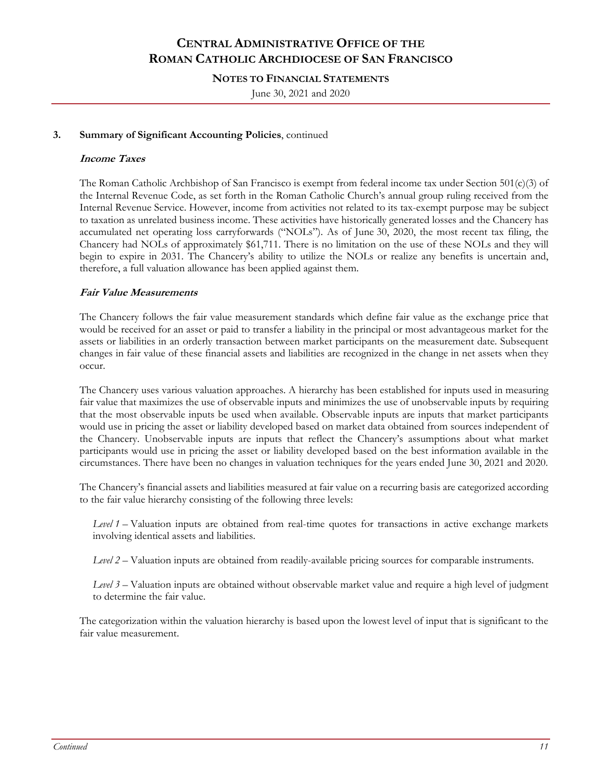#### **NOTES TO FINANCIAL STATEMENTS**

June 30, 2021 and 2020

## **3. Summary of Significant Accounting Policies**, continued

### **Income Taxes**

The Roman Catholic Archbishop of San Francisco is exempt from federal income tax under Section 501(c)(3) of the Internal Revenue Code, as set forth in the Roman Catholic Church's annual group ruling received from the Internal Revenue Service. However, income from activities not related to its tax-exempt purpose may be subject to taxation as unrelated business income. These activities have historically generated losses and the Chancery has accumulated net operating loss carryforwards ("NOLs"). As of June 30, 2020, the most recent tax filing, the Chancery had NOLs of approximately \$61,711. There is no limitation on the use of these NOLs and they will begin to expire in 2031. The Chancery's ability to utilize the NOLs or realize any benefits is uncertain and, therefore, a full valuation allowance has been applied against them.

# **Fair Value Measurements**

The Chancery follows the fair value measurement standards which define fair value as the exchange price that would be received for an asset or paid to transfer a liability in the principal or most advantageous market for the assets or liabilities in an orderly transaction between market participants on the measurement date. Subsequent changes in fair value of these financial assets and liabilities are recognized in the change in net assets when they occur.

The Chancery uses various valuation approaches. A hierarchy has been established for inputs used in measuring fair value that maximizes the use of observable inputs and minimizes the use of unobservable inputs by requiring that the most observable inputs be used when available. Observable inputs are inputs that market participants would use in pricing the asset or liability developed based on market data obtained from sources independent of the Chancery. Unobservable inputs are inputs that reflect the Chancery's assumptions about what market participants would use in pricing the asset or liability developed based on the best information available in the circumstances. There have been no changes in valuation techniques for the years ended June 30, 2021 and 2020.

The Chancery's financial assets and liabilities measured at fair value on a recurring basis are categorized according to the fair value hierarchy consisting of the following three levels:

*Level 1* – Valuation inputs are obtained from real-time quotes for transactions in active exchange markets involving identical assets and liabilities.

*Level 2* – Valuation inputs are obtained from readily-available pricing sources for comparable instruments.

*Level 3* – Valuation inputs are obtained without observable market value and require a high level of judgment to determine the fair value.

The categorization within the valuation hierarchy is based upon the lowest level of input that is significant to the fair value measurement.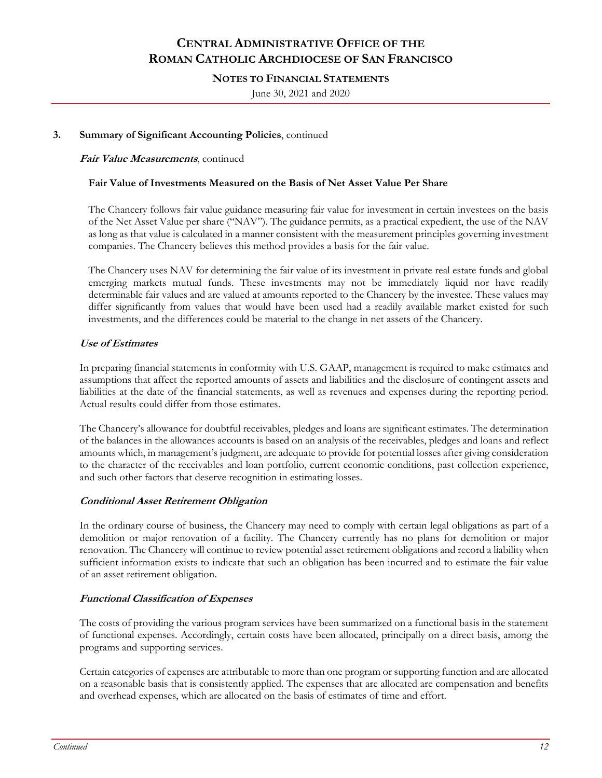**NOTES TO FINANCIAL STATEMENTS**

June 30, 2021 and 2020

### **3. Summary of Significant Accounting Policies**, continued

#### **Fair Value Measurements**, continued

### **Fair Value of Investments Measured on the Basis of Net Asset Value Per Share**

The Chancery follows fair value guidance measuring fair value for investment in certain investees on the basis of the Net Asset Value per share ("NAV"). The guidance permits, as a practical expedient, the use of the NAV as long as that value is calculated in a manner consistent with the measurement principles governing investment companies. The Chancery believes this method provides a basis for the fair value.

The Chancery uses NAV for determining the fair value of its investment in private real estate funds and global emerging markets mutual funds. These investments may not be immediately liquid nor have readily determinable fair values and are valued at amounts reported to the Chancery by the investee. These values may differ significantly from values that would have been used had a readily available market existed for such investments, and the differences could be material to the change in net assets of the Chancery.

## **Use of Estimates**

In preparing financial statements in conformity with U.S. GAAP, management is required to make estimates and assumptions that affect the reported amounts of assets and liabilities and the disclosure of contingent assets and liabilities at the date of the financial statements, as well as revenues and expenses during the reporting period. Actual results could differ from those estimates.

The Chancery's allowance for doubtful receivables, pledges and loans are significant estimates. The determination of the balances in the allowances accounts is based on an analysis of the receivables, pledges and loans and reflect amounts which, in management's judgment, are adequate to provide for potential losses after giving consideration to the character of the receivables and loan portfolio, current economic conditions, past collection experience, and such other factors that deserve recognition in estimating losses.

### **Conditional Asset Retirement Obligation**

In the ordinary course of business, the Chancery may need to comply with certain legal obligations as part of a demolition or major renovation of a facility. The Chancery currently has no plans for demolition or major renovation. The Chancery will continue to review potential asset retirement obligations and record a liability when sufficient information exists to indicate that such an obligation has been incurred and to estimate the fair value of an asset retirement obligation.

#### **Functional Classification of Expenses**

The costs of providing the various program services have been summarized on a functional basis in the statement of functional expenses. Accordingly, certain costs have been allocated, principally on a direct basis, among the programs and supporting services.

Certain categories of expenses are attributable to more than one program or supporting function and are allocated on a reasonable basis that is consistently applied. The expenses that are allocated are compensation and benefits and overhead expenses, which are allocated on the basis of estimates of time and effort.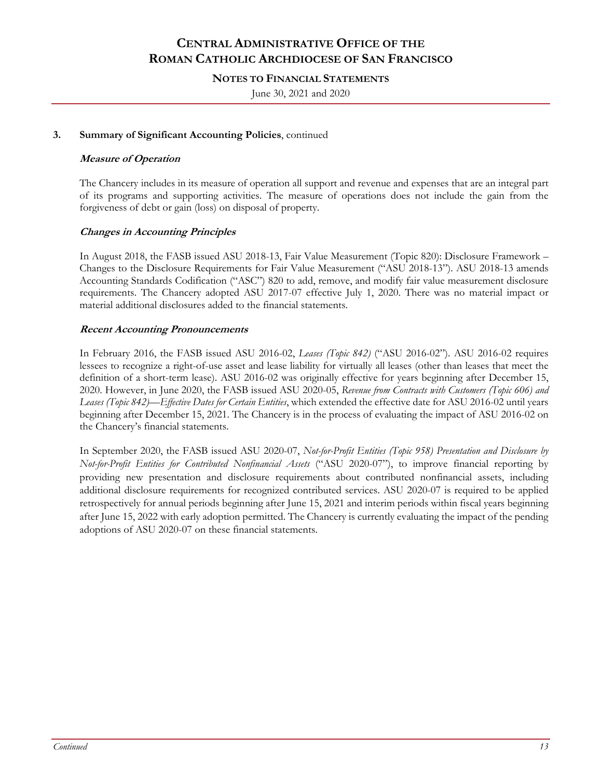**NOTES TO FINANCIAL STATEMENTS**

June 30, 2021 and 2020

### **3. Summary of Significant Accounting Policies**, continued

### **Measure of Operation**

The Chancery includes in its measure of operation all support and revenue and expenses that are an integral part of its programs and supporting activities. The measure of operations does not include the gain from the forgiveness of debt or gain (loss) on disposal of property.

## **Changes in Accounting Principles**

In August 2018, the FASB issued ASU 2018-13, Fair Value Measurement (Topic 820): Disclosure Framework – Changes to the Disclosure Requirements for Fair Value Measurement ("ASU 2018-13"). ASU 2018-13 amends Accounting Standards Codification ("ASC") 820 to add, remove, and modify fair value measurement disclosure requirements. The Chancery adopted ASU 2017-07 effective July 1, 2020. There was no material impact or material additional disclosures added to the financial statements.

## **Recent Accounting Pronouncements**

In February 2016, the FASB issued ASU 2016-02, *Leases (Topic 842)* ("ASU 2016-02"). ASU 2016-02 requires lessees to recognize a right-of-use asset and lease liability for virtually all leases (other than leases that meet the definition of a short-term lease). ASU 2016-02 was originally effective for years beginning after December 15, 2020. However, in June 2020, the FASB issued ASU 2020-05, *Revenue from Contracts with Customers (Topic 606) and Leases (Topic 842)—Effective Dates for Certain Entities*, which extended the effective date for ASU 2016-02 until years beginning after December 15, 2021. The Chancery is in the process of evaluating the impact of ASU 2016-02 on the Chancery's financial statements.

In September 2020, the FASB issued ASU 2020-07, *Not-for-Profit Entities (Topic 958) Presentation and Disclosure by Not-for-Profit Entities for Contributed Nonfinancial Assets* ("ASU 2020-07"), to improve financial reporting by providing new presentation and disclosure requirements about contributed nonfinancial assets, including additional disclosure requirements for recognized contributed services. ASU 2020-07 is required to be applied retrospectively for annual periods beginning after June 15, 2021 and interim periods within fiscal years beginning after June 15, 2022 with early adoption permitted. The Chancery is currently evaluating the impact of the pending adoptions of ASU 2020-07 on these financial statements.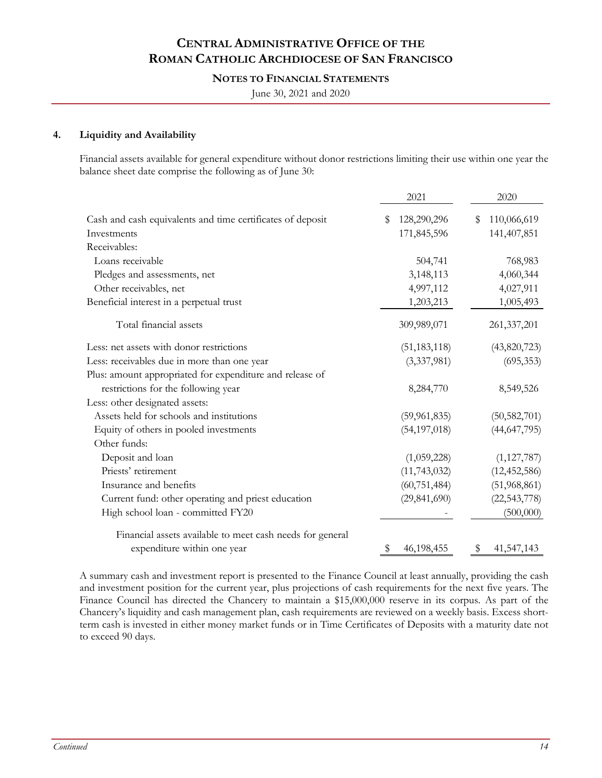### **NOTES TO FINANCIAL STATEMENTS**

June 30, 2021 and 2020

## **4. Liquidity and Availability**

Financial assets available for general expenditure without donor restrictions limiting their use within one year the balance sheet date comprise the following as of June 30:

|                                                            |   | 2021           | 2020              |
|------------------------------------------------------------|---|----------------|-------------------|
| Cash and cash equivalents and time certificates of deposit | S | 128,290,296    | \$<br>110,066,619 |
| Investments                                                |   | 171,845,596    | 141,407,851       |
| Receivables:                                               |   |                |                   |
| Loans receivable                                           |   | 504,741        | 768,983           |
| Pledges and assessments, net                               |   | 3,148,113      | 4,060,344         |
| Other receivables, net                                     |   | 4,997,112      | 4,027,911         |
| Beneficial interest in a perpetual trust                   |   | 1,203,213      | 1,005,493         |
| Total financial assets                                     |   | 309,989,071    | 261, 337, 201     |
| Less: net assets with donor restrictions                   |   | (51, 183, 118) | (43,820,723)      |
| Less: receivables due in more than one year                |   | (3,337,981)    | (695, 353)        |
| Plus: amount appropriated for expenditure and release of   |   |                |                   |
| restrictions for the following year                        |   | 8,284,770      | 8,549,526         |
| Less: other designated assets:                             |   |                |                   |
| Assets held for schools and institutions                   |   | (59, 961, 835) | (50, 582, 701)    |
| Equity of others in pooled investments                     |   | (54, 197, 018) | (44, 647, 795)    |
| Other funds:                                               |   |                |                   |
| Deposit and loan                                           |   | (1,059,228)    | (1, 127, 787)     |
| Priests' retirement                                        |   | (11,743,032)   | (12, 452, 586)    |
| Insurance and benefits                                     |   | (60, 751, 484) | (51, 968, 861)    |
| Current fund: other operating and priest education         |   | (29, 841, 690) | (22, 543, 778)    |
| High school loan - committed FY20                          |   |                | (500,000)         |
| Financial assets available to meet cash needs for general  |   |                |                   |
| expenditure within one year                                |   | 46,198,455     | 41,547,143        |

A summary cash and investment report is presented to the Finance Council at least annually, providing the cash and investment position for the current year, plus projections of cash requirements for the next five years. The Finance Council has directed the Chancery to maintain a \$15,000,000 reserve in its corpus. As part of the Chancery's liquidity and cash management plan, cash requirements are reviewed on a weekly basis. Excess shortterm cash is invested in either money market funds or in Time Certificates of Deposits with a maturity date not to exceed 90 days.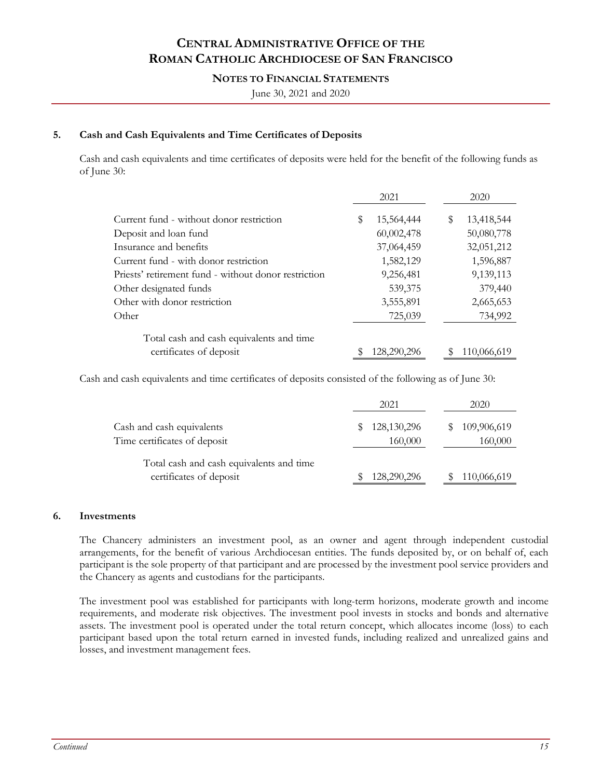**NOTES TO FINANCIAL STATEMENTS**

June 30, 2021 and 2020

## **5. Cash and Cash Equivalents and Time Certificates of Deposits**

Cash and cash equivalents and time certificates of deposits were held for the benefit of the following funds as of June 30:

|                                                      |    | 2021        | 2020 |             |  |
|------------------------------------------------------|----|-------------|------|-------------|--|
| Current fund - without donor restriction             | \$ | 15,564,444  | S    | 13,418,544  |  |
| Deposit and loan fund                                |    | 60,002,478  |      | 50,080,778  |  |
| Insurance and benefits                               |    | 37,064,459  |      | 32,051,212  |  |
| Current fund - with donor restriction                |    | 1,582,129   |      | 1,596,887   |  |
| Priests' retirement fund - without donor restriction |    | 9,256,481   |      | 9,139,113   |  |
| Other designated funds                               |    | 539,375     |      | 379,440     |  |
| Other with donor restriction                         |    | 3,555,891   |      | 2,665,653   |  |
| Other                                                |    | 725,039     |      | 734,992     |  |
| Total cash and cash equivalents and time             |    |             |      |             |  |
| certificates of deposit                              |    | 128,290,296 |      | 110,066,619 |  |

Cash and cash equivalents and time certificates of deposits consisted of the following as of June 30:

|                                                                     | 2021                     | 2020                        |  |  |
|---------------------------------------------------------------------|--------------------------|-----------------------------|--|--|
| Cash and cash equivalents<br>Time certificates of deposit           | 128, 130, 296<br>160,000 | 109,906,619<br>Ж<br>160,000 |  |  |
| Total cash and cash equivalents and time<br>certificates of deposit | 128,290,296              | 110,066,619                 |  |  |

#### **6. Investments**

The Chancery administers an investment pool, as an owner and agent through independent custodial arrangements, for the benefit of various Archdiocesan entities. The funds deposited by, or on behalf of, each participant is the sole property of that participant and are processed by the investment pool service providers and the Chancery as agents and custodians for the participants.

The investment pool was established for participants with long-term horizons, moderate growth and income requirements, and moderate risk objectives. The investment pool invests in stocks and bonds and alternative assets. The investment pool is operated under the total return concept, which allocates income (loss) to each participant based upon the total return earned in invested funds, including realized and unrealized gains and losses, and investment management fees.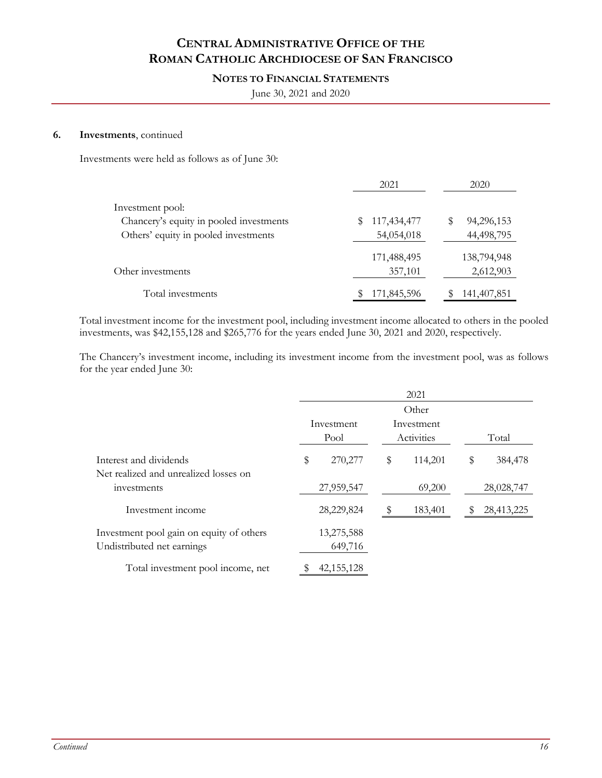# **NOTES TO FINANCIAL STATEMENTS**

June 30, 2021 and 2020

### **6. Investments**, continued

Investments were held as follows as of June 30:

|                                         | 2021        | 2020        |
|-----------------------------------------|-------------|-------------|
| Investment pool:                        |             |             |
| Chancery's equity in pooled investments | 117,434,477 | 94,296,153  |
| Others' equity in pooled investments    | 54,054,018  | 44,498,795  |
|                                         | 171,488,495 | 138,794,948 |
| Other investments                       | 357,101     | 2,612,903   |
| Total investments                       | 171,845,596 | 141,407,851 |

Total investment income for the investment pool, including investment income allocated to others in the pooled investments, was \$42,155,128 and \$265,776 for the years ended June 30, 2021 and 2020, respectively.

The Chancery's investment income, including its investment income from the investment pool, was as follows for the year ended June 30:

|                                                                        | 2021       |                       |            |         |       |            |
|------------------------------------------------------------------------|------------|-----------------------|------------|---------|-------|------------|
|                                                                        | Other      |                       |            |         |       |            |
|                                                                        | Investment |                       | Investment |         |       |            |
|                                                                        |            | Pool                  | Activities |         | Total |            |
| Interest and dividends<br>Net realized and unrealized losses on        | \$         | 270,277               | \$         | 114,201 | \$    | 384,478    |
| investments                                                            |            | 27,959,547            |            | 69,200  |       | 28,028,747 |
| Investment income                                                      |            | 28,229,824            | - S        | 183,401 | Ъ     | 28,413,225 |
| Investment pool gain on equity of others<br>Undistributed net earnings |            | 13,275,588<br>649,716 |            |         |       |            |
| Total investment pool income, net                                      |            | 42, 155, 128          |            |         |       |            |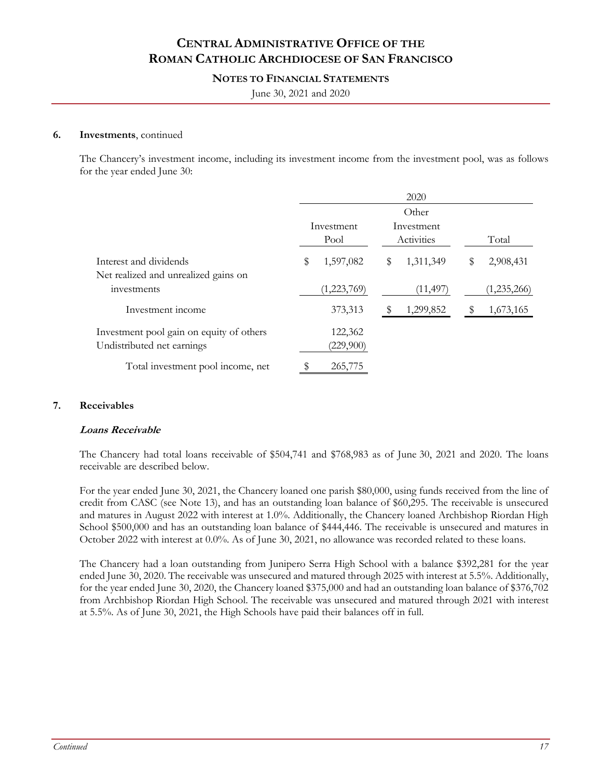### **NOTES TO FINANCIAL STATEMENTS**

June 30, 2021 and 2020

#### **6. Investments**, continued

The Chancery's investment income, including its investment income from the investment pool, was as follows for the year ended June 30:

|                                                                        | 2020               |                      |                          |    |             |  |
|------------------------------------------------------------------------|--------------------|----------------------|--------------------------|----|-------------|--|
|                                                                        | Other              |                      |                          |    |             |  |
|                                                                        | Investment<br>Pool |                      | Investment<br>Activities |    | Total       |  |
| Interest and dividends                                                 | \$                 | 1,597,082<br>\$      | 1,311,349                | \$ | 2,908,431   |  |
| Net realized and unrealized gains on<br>investments                    |                    | (1,223,769)          | (11,497)                 |    | (1,235,266) |  |
| Investment income                                                      |                    | 373,313              | 1,299,852                | S  | 1,673,165   |  |
| Investment pool gain on equity of others<br>Undistributed net earnings |                    | 122,362<br>(229,900) |                          |    |             |  |
| Total investment pool income, net                                      |                    | 265,775              |                          |    |             |  |

# **7. Receivables**

# **Loans Receivable**

The Chancery had total loans receivable of \$504,741 and \$768,983 as of June 30, 2021 and 2020. The loans receivable are described below.

For the year ended June 30, 2021, the Chancery loaned one parish \$80,000, using funds received from the line of credit from CASC (see Note 13), and has an outstanding loan balance of \$60,295. The receivable is unsecured and matures in August 2022 with interest at 1.0%. Additionally, the Chancery loaned Archbishop Riordan High School \$500,000 and has an outstanding loan balance of \$444,446. The receivable is unsecured and matures in October 2022 with interest at 0.0%. As of June 30, 2021, no allowance was recorded related to these loans.

The Chancery had a loan outstanding from Junipero Serra High School with a balance \$392,281 for the year ended June 30, 2020. The receivable was unsecured and matured through 2025 with interest at 5.5%. Additionally, for the year ended June 30, 2020, the Chancery loaned \$375,000 and had an outstanding loan balance of \$376,702 from Archbishop Riordan High School. The receivable was unsecured and matured through 2021 with interest at 5.5%. As of June 30, 2021, the High Schools have paid their balances off in full.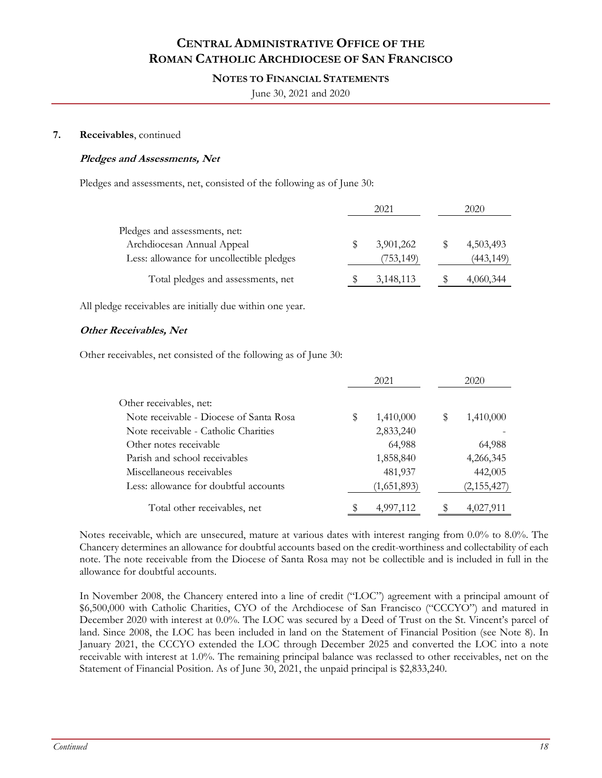## **NOTES TO FINANCIAL STATEMENTS**

June 30, 2021 and 2020

### **7. Receivables**, continued

## **Pledges and Assessments, Net**

Pledges and assessments, net, consisted of the following as of June 30:

|                                           | 2021      | 2020      |  |  |
|-------------------------------------------|-----------|-----------|--|--|
| Pledges and assessments, net:             |           |           |  |  |
| Archdiocesan Annual Appeal                | 3,901,262 | 4,503,493 |  |  |
| Less: allowance for uncollectible pledges | (753,149) | (443,149) |  |  |
| Total pledges and assessments, net        | 3,148,113 | 4,060,344 |  |  |

All pledge receivables are initially due within one year.

## **Other Receivables, Net**

Other receivables, net consisted of the following as of June 30:

|                                         | 2021 |             |   | 2020          |
|-----------------------------------------|------|-------------|---|---------------|
| Other receivables, net:                 |      |             |   |               |
| Note receivable - Diocese of Santa Rosa | \$   | 1,410,000   | S | 1,410,000     |
| Note receivable - Catholic Charities    |      | 2,833,240   |   |               |
| Other notes receivable                  |      | 64,988      |   | 64,988        |
| Parish and school receivables           |      | 1,858,840   |   | 4,266,345     |
| Miscellaneous receivables               |      | 481,937     |   | 442,005       |
| Less: allowance for doubtful accounts   |      | (1,651,893) |   | (2, 155, 427) |
| Total other receivables, net            |      | 4,997,112   |   | 4,027,911     |

Notes receivable, which are unsecured, mature at various dates with interest ranging from 0.0% to 8.0%. The Chancery determines an allowance for doubtful accounts based on the credit-worthiness and collectability of each note. The note receivable from the Diocese of Santa Rosa may not be collectible and is included in full in the allowance for doubtful accounts.

In November 2008, the Chancery entered into a line of credit ("LOC") agreement with a principal amount of \$6,500,000 with Catholic Charities, CYO of the Archdiocese of San Francisco ("CCCYO") and matured in December 2020 with interest at 0.0%. The LOC was secured by a Deed of Trust on the St. Vincent's parcel of land. Since 2008, the LOC has been included in land on the Statement of Financial Position (see Note 8). In January 2021, the CCCYO extended the LOC through December 2025 and converted the LOC into a note receivable with interest at 1.0%. The remaining principal balance was reclassed to other receivables, net on the Statement of Financial Position. As of June 30, 2021, the unpaid principal is \$2,833,240.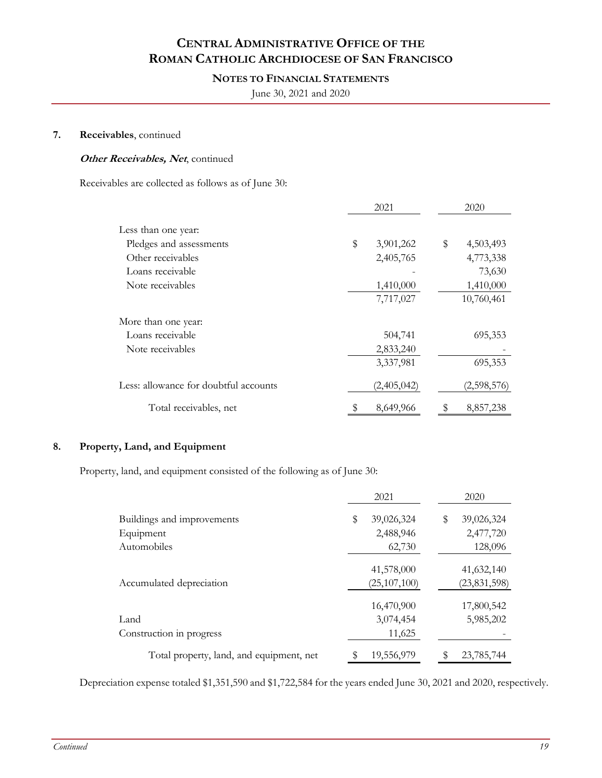## **NOTES TO FINANCIAL STATEMENTS**

June 30, 2021 and 2020

# **7. Receivables**, continued

## **Other Receivables, Net**, continued

Receivables are collected as follows as of June 30:

|                                       | 2021            | 2020            |
|---------------------------------------|-----------------|-----------------|
| Less than one year:                   |                 |                 |
| Pledges and assessments               | \$<br>3,901,262 | \$<br>4,503,493 |
| Other receivables                     | 2,405,765       | 4,773,338       |
| Loans receivable                      |                 | 73,630          |
| Note receivables                      | 1,410,000       | 1,410,000       |
|                                       | 7,717,027       | 10,760,461      |
| More than one year:                   |                 |                 |
| Loans receivable                      | 504,741         | 695,353         |
| Note receivables                      | 2,833,240       |                 |
|                                       | 3,337,981       | 695,353         |
| Less: allowance for doubtful accounts | (2,405,042)     | (2,598,576)     |
| Total receivables, net                | 8,649,966       | 8,857,238       |

#### **8. Property, Land, and Equipment**

Property, land, and equipment consisted of the following as of June 30:

|                                          | 2021                         | 2020                         |
|------------------------------------------|------------------------------|------------------------------|
| Buildings and improvements               | \$<br>39,026,324             | \$<br>39,026,324             |
| Equipment                                | 2,488,946                    | 2,477,720                    |
| Automobiles                              | 62,730                       | 128,096                      |
| Accumulated depreciation                 | 41,578,000<br>(25, 107, 100) | 41,632,140<br>(23, 831, 598) |
| Land                                     | 16,470,900<br>3,074,454      | 17,800,542<br>5,985,202      |
| Construction in progress                 | 11,625                       |                              |
| Total property, land, and equipment, net | 19,556,979                   | \$<br>23,785,744             |

Depreciation expense totaled \$1,351,590 and \$1,722,584 for the years ended June 30, 2021 and 2020, respectively.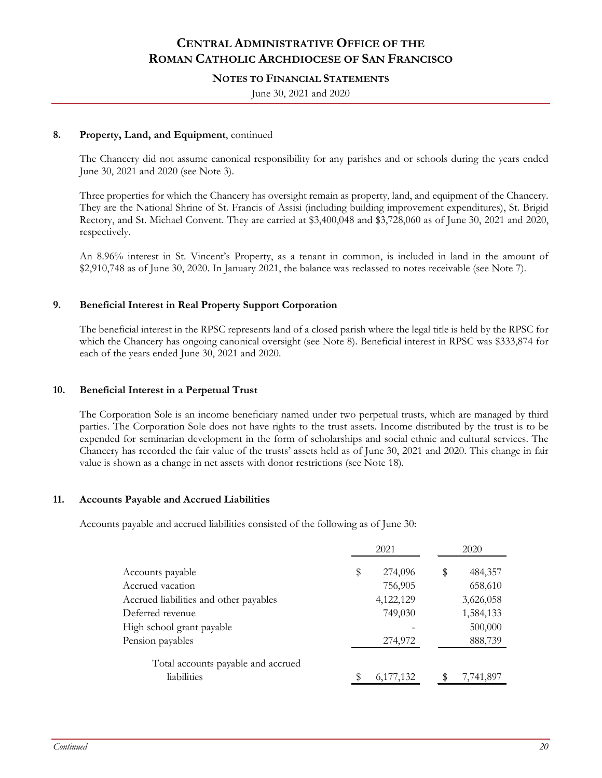### **NOTES TO FINANCIAL STATEMENTS**

June 30, 2021 and 2020

### **8. Property, Land, and Equipment**, continued

The Chancery did not assume canonical responsibility for any parishes and or schools during the years ended June 30, 2021 and 2020 (see Note 3).

Three properties for which the Chancery has oversight remain as property, land, and equipment of the Chancery. They are the National Shrine of St. Francis of Assisi (including building improvement expenditures), St. Brigid Rectory, and St. Michael Convent. They are carried at \$3,400,048 and \$3,728,060 as of June 30, 2021 and 2020, respectively.

An 8.96% interest in St. Vincent's Property, as a tenant in common, is included in land in the amount of \$2,910,748 as of June 30, 2020. In January 2021, the balance was reclassed to notes receivable (see Note 7).

## **9. Beneficial Interest in Real Property Support Corporation**

The beneficial interest in the RPSC represents land of a closed parish where the legal title is held by the RPSC for which the Chancery has ongoing canonical oversight (see Note 8). Beneficial interest in RPSC was \$333,874 for each of the years ended June 30, 2021 and 2020.

### **10. Beneficial Interest in a Perpetual Trust**

The Corporation Sole is an income beneficiary named under two perpetual trusts, which are managed by third parties. The Corporation Sole does not have rights to the trust assets. Income distributed by the trust is to be expended for seminarian development in the form of scholarships and social ethnic and cultural services. The Chancery has recorded the fair value of the trusts' assets held as of June 30, 2021 and 2020. This change in fair value is shown as a change in net assets with donor restrictions (see Note 18).

#### **11. Accounts Payable and Accrued Liabilities**

Accounts payable and accrued liabilities consisted of the following as of June 30:

|                                                   | 2021 |           | 2020          |
|---------------------------------------------------|------|-----------|---------------|
| Accounts payable                                  | \$   | 274,096   | \$<br>484,357 |
| Accrued vacation                                  |      | 756,905   | 658,610       |
| Accrued liabilities and other payables            |      | 4,122,129 | 3,626,058     |
| Deferred revenue                                  |      | 749,030   | 1,584,133     |
| High school grant payable                         |      |           | 500,000       |
| Pension payables                                  |      | 274,972   | 888,739       |
| Total accounts payable and accrued<br>liabilities |      | 6,177,132 | 7,741,897     |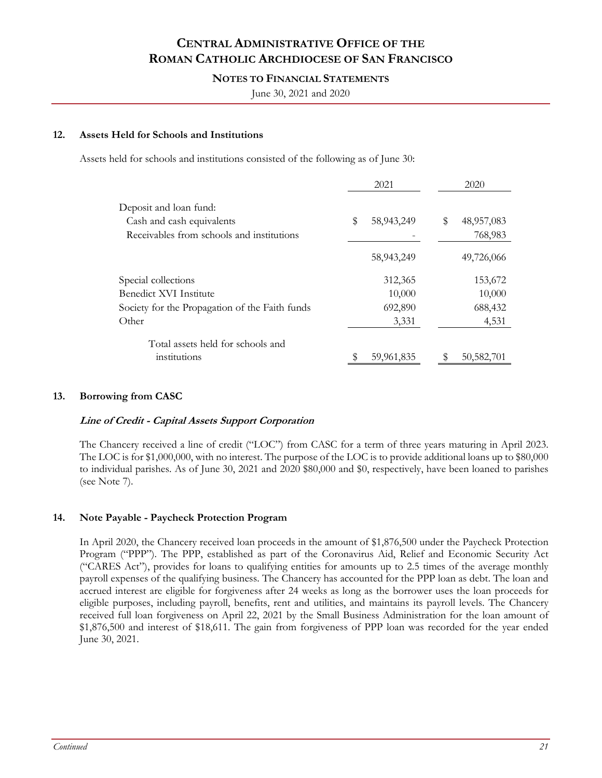### **NOTES TO FINANCIAL STATEMENTS**

June 30, 2021 and 2020

## **12. Assets Held for Schools and Institutions**

Assets held for schools and institutions consisted of the following as of June 30:

|                                                | 2021 |            | 2020             |
|------------------------------------------------|------|------------|------------------|
| Deposit and loan fund:                         |      |            |                  |
| Cash and cash equivalents                      | \$   | 58,943,249 | \$<br>48,957,083 |
| Receivables from schools and institutions      |      |            | 768,983          |
|                                                |      | 58,943,249 | 49,726,066       |
| Special collections                            |      | 312,365    | 153,672          |
| <b>Benedict XVI Institute</b>                  |      | 10,000     | 10,000           |
| Society for the Propagation of the Faith funds |      | 692,890    | 688,432          |
| Other                                          |      | 3,331      | 4,531            |
| Total assets held for schools and              |      |            |                  |
| institutions                                   |      | 59,961,835 | 50,582,701       |

# **13. Borrowing from CASC**

# **Line of Credit - Capital Assets Support Corporation**

The Chancery received a line of credit ("LOC") from CASC for a term of three years maturing in April 2023. The LOC is for \$1,000,000, with no interest. The purpose of the LOC is to provide additional loans up to \$80,000 to individual parishes. As of June 30, 2021 and 2020 \$80,000 and \$0, respectively, have been loaned to parishes (see Note 7).

#### **14. Note Payable - Paycheck Protection Program**

In April 2020, the Chancery received loan proceeds in the amount of \$1,876,500 under the Paycheck Protection Program ("PPP"). The PPP, established as part of the Coronavirus Aid, Relief and Economic Security Act ("CARES Act"), provides for loans to qualifying entities for amounts up to 2.5 times of the average monthly payroll expenses of the qualifying business. The Chancery has accounted for the PPP loan as debt. The loan and accrued interest are eligible for forgiveness after 24 weeks as long as the borrower uses the loan proceeds for eligible purposes, including payroll, benefits, rent and utilities, and maintains its payroll levels. The Chancery received full loan forgiveness on April 22, 2021 by the Small Business Administration for the loan amount of \$1,876,500 and interest of \$18,611. The gain from forgiveness of PPP loan was recorded for the year ended June 30, 2021.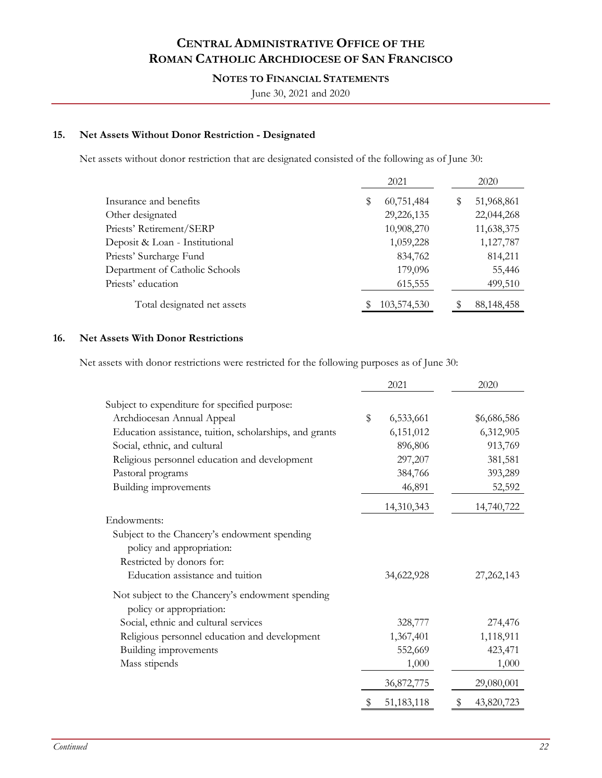### **NOTES TO FINANCIAL STATEMENTS**

June 30, 2021 and 2020

# **15. Net Assets Without Donor Restriction - Designated**

Net assets without donor restriction that are designated consisted of the following as of June 30:

|                                | 2021        |  | 2020         |
|--------------------------------|-------------|--|--------------|
| Insurance and benefits         | 60,751,484  |  | 51,968,861   |
| Other designated               | 29,226,135  |  | 22,044,268   |
| Priests' Retirement/SERP       | 10,908,270  |  | 11,638,375   |
| Deposit & Loan - Institutional | 1,059,228   |  | 1,127,787    |
| Priests' Surcharge Fund        | 834,762     |  | 814,211      |
| Department of Catholic Schools | 179,096     |  | 55,446       |
| Priests' education             | 615,555     |  | 499,510      |
| Total designated net assets    | 103,574,530 |  | 88, 148, 458 |

# **16. Net Assets With Donor Restrictions**

Net assets with donor restrictions were restricted for the following purposes as of June 30:

|                                                                              | 2021               | 2020             |
|------------------------------------------------------------------------------|--------------------|------------------|
| Subject to expenditure for specified purpose:                                |                    |                  |
| Archdiocesan Annual Appeal                                                   | \$<br>6,533,661    | \$6,686,586      |
| Education assistance, tuition, scholarships, and grants                      | 6,151,012          | 6,312,905        |
| Social, ethnic, and cultural                                                 | 896,806            | 913,769          |
| Religious personnel education and development                                | 297,207            | 381,581          |
| Pastoral programs                                                            | 384,766            | 393,289          |
| Building improvements                                                        | 46,891             | 52,592           |
|                                                                              | 14,310,343         | 14,740,722       |
| Endowments:                                                                  |                    |                  |
| Subject to the Chancery's endowment spending<br>policy and appropriation:    |                    |                  |
| Restricted by donors for:                                                    |                    |                  |
| Education assistance and tuition                                             | 34,622,928         | 27, 262, 143     |
| Not subject to the Chancery's endowment spending<br>policy or appropriation: |                    |                  |
| Social, ethnic and cultural services                                         | 328,777            | 274,476          |
| Religious personnel education and development                                | 1,367,401          | 1,118,911        |
| Building improvements                                                        | 552,669            | 423,471          |
| Mass stipends                                                                | 1,000              | 1,000            |
|                                                                              | 36,872,775         | 29,080,001       |
|                                                                              | \$<br>51, 183, 118 | \$<br>43,820,723 |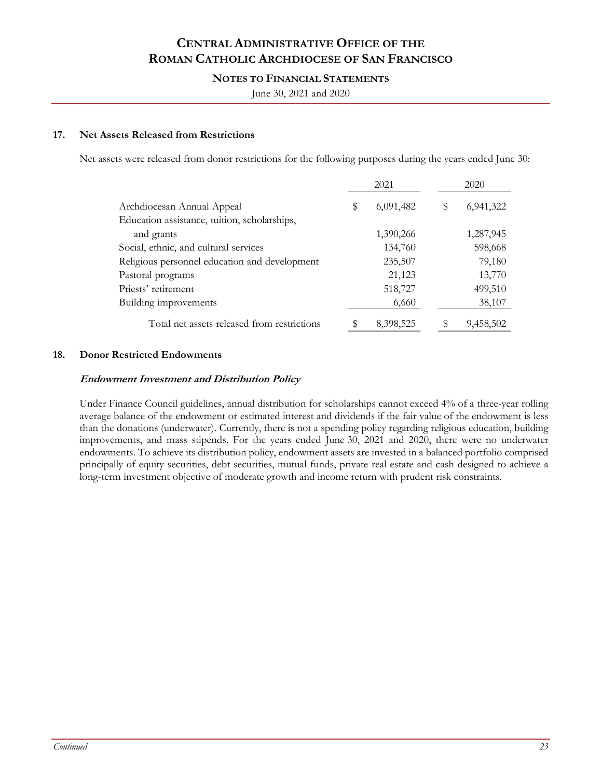### **NOTES TO FINANCIAL STATEMENTS**

June 30, 2021 and 2020

### **17. Net Assets Released from Restrictions**

Net assets were released from donor restrictions for the following purposes during the years ended June 30:

|                                               | 2021 |           | 2020 |   |           |
|-----------------------------------------------|------|-----------|------|---|-----------|
| Archdiocesan Annual Appeal                    | \$   | 6,091,482 |      | S | 6,941,322 |
| Education assistance, tuition, scholarships,  |      |           |      |   |           |
| and grants                                    |      | 1,390,266 |      |   | 1,287,945 |
| Social, ethnic, and cultural services         |      | 134,760   |      |   | 598,668   |
| Religious personnel education and development |      | 235,507   |      |   | 79,180    |
| Pastoral programs                             |      | 21,123    |      |   | 13,770    |
| Priests' retirement                           |      | 518,727   |      |   | 499,510   |
| Building improvements                         |      | 6,660     |      |   | 38,107    |
| Total net assets released from restrictions   |      | 8,398,525 |      |   | 9,458,502 |

## **18. Donor Restricted Endowments**

## **Endowment Investment and Distribution Policy**

Under Finance Council guidelines, annual distribution for scholarships cannot exceed 4% of a three-year rolling average balance of the endowment or estimated interest and dividends if the fair value of the endowment is less than the donations (underwater). Currently, there is not a spending policy regarding religious education, building improvements, and mass stipends. For the years ended June 30, 2021 and 2020, there were no underwater endowments. To achieve its distribution policy, endowment assets are invested in a balanced portfolio comprised principally of equity securities, debt securities, mutual funds, private real estate and cash designed to achieve a long-term investment objective of moderate growth and income return with prudent risk constraints.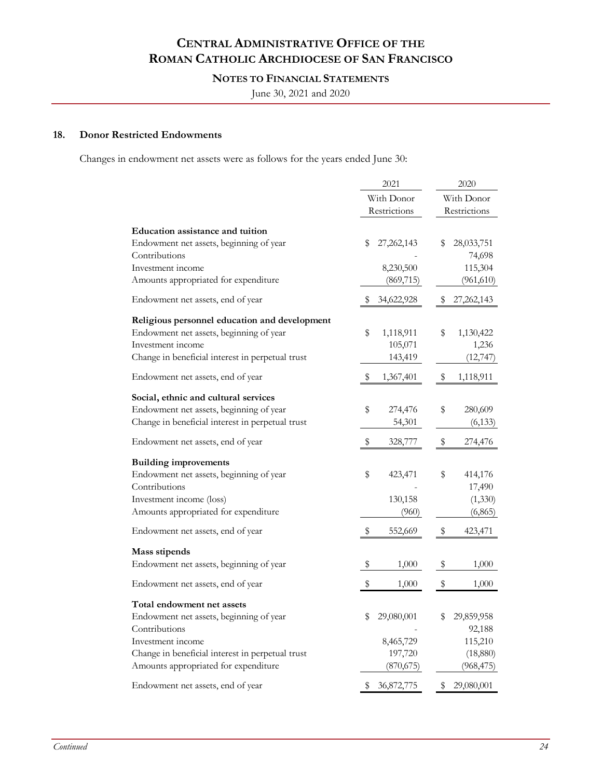# **NOTES TO FINANCIAL STATEMENTS**

June 30, 2021 and 2020

# **18. Donor Restricted Endowments**

Changes in endowment net assets were as follows for the years ended June 30:

|                                                  | 2021                                 | 2020             |
|--------------------------------------------------|--------------------------------------|------------------|
|                                                  | With Donor                           | With Donor       |
|                                                  | Restrictions                         | Restrictions     |
|                                                  |                                      |                  |
| Education assistance and tuition                 |                                      |                  |
| Endowment net assets, beginning of year          | \$<br>27,262,143                     | 28,033,751<br>\$ |
| Contributions                                    |                                      | 74,698           |
| Investment income                                | 8,230,500                            | 115,304          |
| Amounts appropriated for expenditure             | (869, 715)                           | (961, 610)       |
| Endowment net assets, end of year                | 34,622,928<br>S                      | 27,262,143<br>S  |
| Religious personnel education and development    |                                      |                  |
| Endowment net assets, beginning of year          | \$<br>1,118,911                      | \$<br>1,130,422  |
| Investment income                                | 105,071                              | 1,236            |
| Change in beneficial interest in perpetual trust | 143,419                              | (12, 747)        |
|                                                  |                                      |                  |
| Endowment net assets, end of year                | \$<br>1,367,401                      | \$<br>1,118,911  |
| Social, ethnic and cultural services             |                                      |                  |
| Endowment net assets, beginning of year          | \$<br>274,476                        | \$<br>280,609    |
| Change in beneficial interest in perpetual trust | 54,301                               | (6,133)          |
| Endowment net assets, end of year                | $\boldsymbol{\mathsf{S}}$<br>328,777 | $\,$<br>274,476  |
| <b>Building improvements</b>                     |                                      |                  |
| Endowment net assets, beginning of year          | \$<br>423,471                        | \$<br>414,176    |
| Contributions                                    |                                      | 17,490           |
| Investment income (loss)                         | 130,158                              | (1,330)          |
| Amounts appropriated for expenditure             | (960)                                | (6, 865)         |
|                                                  |                                      |                  |
| Endowment net assets, end of year                | \$<br>552,669                        | \$<br>423,471    |
| Mass stipends                                    |                                      |                  |
| Endowment net assets, beginning of year          | \$<br>1,000                          | \$<br>1,000      |
| Endowment net assets, end of year                | \$<br>1,000                          | \$<br>1,000      |
| Total endowment net assets                       |                                      |                  |
| Endowment net assets, beginning of year          | 29,080,001<br>\$                     | 29,859,958<br>\$ |
| Contributions                                    |                                      | 92,188           |
| Investment income                                | 8,465,729                            | 115,210          |
| Change in beneficial interest in perpetual trust | 197,720                              |                  |
|                                                  |                                      | (18,880)         |
| Amounts appropriated for expenditure             | (870, 675)                           | (968, 475)       |
| Endowment net assets, end of year                | \$<br>36,872,775                     | \$<br>29,080,001 |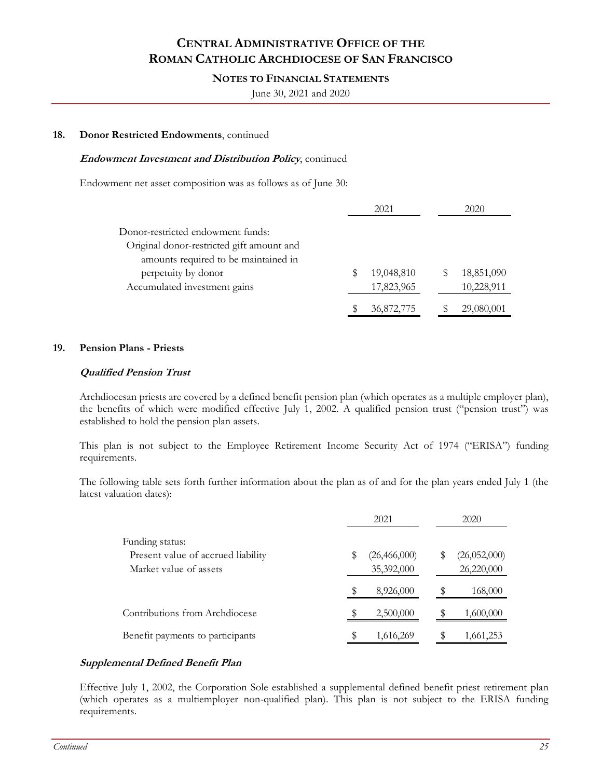**NOTES TO FINANCIAL STATEMENTS**

June 30, 2021 and 2020

### **18. Donor Restricted Endowments**, continued

### **Endowment Investment and Distribution Policy**, continued

Endowment net asset composition was as follows as of June 30:

|                                           | 2021       |   | 2020       |
|-------------------------------------------|------------|---|------------|
| Donor-restricted endowment funds:         |            |   |            |
| Original donor-restricted gift amount and |            |   |            |
| amounts required to be maintained in      |            |   |            |
| perpetuity by donor                       | 19,048,810 | 5 | 18,851,090 |
| Accumulated investment gains              | 17,823,965 |   | 10,228,911 |
|                                           | 36,872,775 |   | 29,080,001 |

#### **19. Pension Plans - Priests**

#### **Qualified Pension Trust**

Archdiocesan priests are covered by a defined benefit pension plan (which operates as a multiple employer plan), the benefits of which were modified effective July 1, 2002. A qualified pension trust ("pension trust") was established to hold the pension plan assets.

This plan is not subject to the Employee Retirement Income Security Act of 1974 ("ERISA") funding requirements.

The following table sets forth further information about the plan as of and for the plan years ended July 1 (the latest valuation dates):

|                                                                                 | 2021                         |    | 2020                       |  |  |
|---------------------------------------------------------------------------------|------------------------------|----|----------------------------|--|--|
| Funding status:<br>Present value of accrued liability<br>Market value of assets | (26, 466, 000)<br>35,392,000 | \$ | (26,052,000)<br>26,220,000 |  |  |
|                                                                                 | 8,926,000                    |    | 168,000                    |  |  |
| Contributions from Archdiocese                                                  | 2,500,000                    | S  | 1,600,000                  |  |  |
| Benefit payments to participants                                                | 1,616,269                    |    | 1,661,253                  |  |  |

#### **Supplemental Defined Benefit Plan**

Effective July 1, 2002, the Corporation Sole established a supplemental defined benefit priest retirement plan (which operates as a multiemployer non-qualified plan). This plan is not subject to the ERISA funding requirements.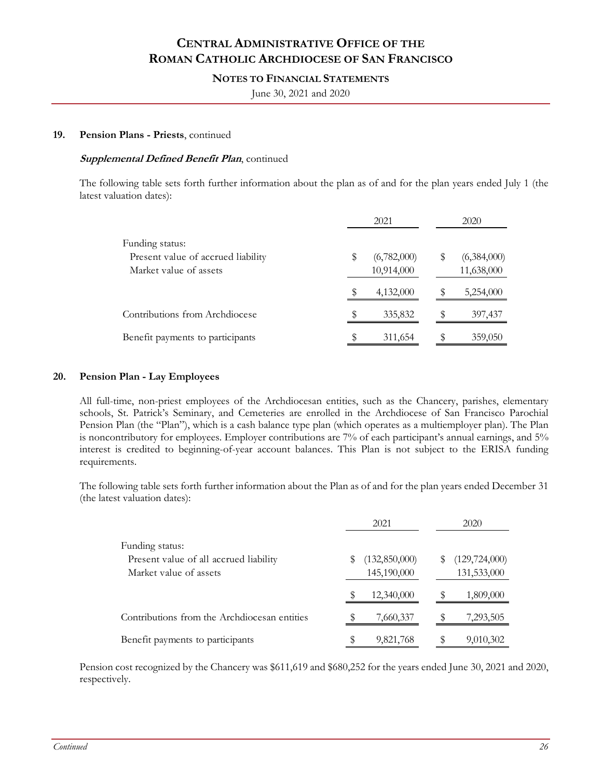### **NOTES TO FINANCIAL STATEMENTS**

June 30, 2021 and 2020

### **19. Pension Plans - Priests**, continued

### **Supplemental Defined Benefit Plan**, continued

The following table sets forth further information about the plan as of and for the plan years ended July 1 (the latest valuation dates):

|                                                                                 |   | 2021                      |    | 2020                      |  |  |
|---------------------------------------------------------------------------------|---|---------------------------|----|---------------------------|--|--|
| Funding status:<br>Present value of accrued liability<br>Market value of assets | S | (6,782,000)<br>10,914,000 | \$ | (6,384,000)<br>11,638,000 |  |  |
|                                                                                 |   | 4,132,000                 |    | 5,254,000                 |  |  |
| Contributions from Archdiocese                                                  |   | 335,832                   | S  | 397,437                   |  |  |
| Benefit payments to participants                                                |   | 311,654                   |    | 359,050                   |  |  |

## **20. Pension Plan - Lay Employees**

All full-time, non-priest employees of the Archdiocesan entities, such as the Chancery, parishes, elementary schools, St. Patrick's Seminary, and Cemeteries are enrolled in the Archdiocese of San Francisco Parochial Pension Plan (the "Plan"), which is a cash balance type plan (which operates as a multiemployer plan). The Plan is noncontributory for employees. Employer contributions are 7% of each participant's annual earnings, and 5% interest is credited to beginning-of-year account balances. This Plan is not subject to the ERISA funding requirements.

The following table sets forth further information about the Plan as of and for the plan years ended December 31 (the latest valuation dates):

|                                                                  | 2021                              | 2020                           |
|------------------------------------------------------------------|-----------------------------------|--------------------------------|
| Funding status:                                                  |                                   |                                |
| Present value of all accrued liability<br>Market value of assets | (132,850,000)<br>S<br>145,190,000 | (129, 724, 000)<br>131,533,000 |
|                                                                  | 12,340,000                        | 1,809,000                      |
| Contributions from the Archdiocesan entities                     | 7,660,337                         | 7,293,505                      |
| Benefit payments to participants                                 | 9,821,768<br>\$                   | 9,010,302                      |

Pension cost recognized by the Chancery was \$611,619 and \$680,252 for the years ended June 30, 2021 and 2020, respectively.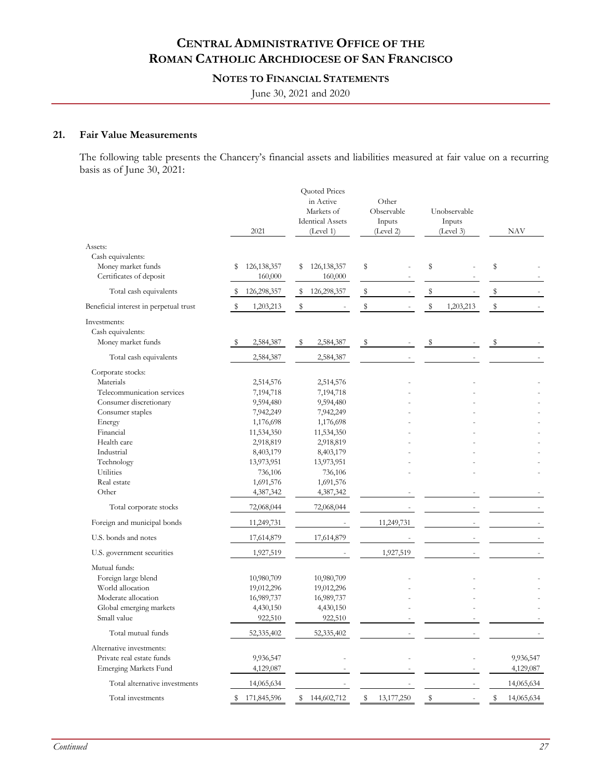#### **NOTES TO FINANCIAL STATEMENTS**

June 30, 2021 and 2020

## **21. Fair Value Measurements**

The following table presents the Chancery's financial assets and liabilities measured at fair value on a recurring basis as of June 30, 2021:

|                                        | 2021                    | Quoted Prices<br>in Active<br>Markets of<br><b>Identical Assets</b><br>(Level 1) | Other<br>Observable<br>Inputs<br>(Level 2) | Unobservable<br>Inputs<br>(Level 3) | <b>NAV</b>       |
|----------------------------------------|-------------------------|----------------------------------------------------------------------------------|--------------------------------------------|-------------------------------------|------------------|
| Assets:                                |                         |                                                                                  |                                            |                                     |                  |
| Cash equivalents:                      |                         |                                                                                  |                                            |                                     |                  |
| Money market funds                     | 126, 138, 357<br>s      | 126, 138, 357<br>\$                                                              | \$                                         | \$                                  | \$               |
| Certificates of deposit                | 160,000                 | 160,000                                                                          |                                            |                                     |                  |
| Total cash equivalents                 | 126,298,357<br>Ş        | 126,298,357<br>\$                                                                | \$                                         | $\$\,$                              | \$               |
| Beneficial interest in perpetual trust | 1,203,213<br>s          | \$                                                                               | \$                                         | \$<br>1,203,213                     | \$               |
| Investments:                           |                         |                                                                                  |                                            |                                     |                  |
| Cash equivalents:                      |                         |                                                                                  |                                            |                                     |                  |
| Money market funds                     | 2,584,387               | 2,584,387<br>\$                                                                  | S                                          | \$                                  | \$               |
| Total cash equivalents                 | 2,584,387               | 2,584,387                                                                        |                                            |                                     |                  |
|                                        |                         |                                                                                  |                                            |                                     |                  |
| Corporate stocks:                      |                         |                                                                                  |                                            |                                     |                  |
| Materials                              | 2,514,576               | 2,514,576                                                                        |                                            |                                     |                  |
| Telecommunication services             | 7,194,718               | 7,194,718                                                                        |                                            |                                     |                  |
| Consumer discretionary                 | 9,594,480               | 9,594,480                                                                        |                                            |                                     |                  |
| Consumer staples                       | 7,942,249               | 7,942,249                                                                        |                                            |                                     |                  |
| Energy<br>Financial                    | 1,176,698               | 1,176,698                                                                        |                                            |                                     |                  |
| Health care                            | 11,534,350<br>2,918,819 | 11,534,350<br>2,918,819                                                          |                                            |                                     |                  |
| Industrial                             | 8,403,179               |                                                                                  |                                            |                                     |                  |
| Technology                             | 13,973,951              | 8,403,179                                                                        |                                            |                                     |                  |
| <b>Utilities</b>                       | 736,106                 | 13,973,951<br>736,106                                                            |                                            |                                     |                  |
|                                        |                         |                                                                                  |                                            |                                     |                  |
| Real estate                            | 1,691,576               | 1,691,576                                                                        |                                            |                                     |                  |
| Other                                  | 4,387,342               | 4,387,342                                                                        |                                            |                                     |                  |
| Total corporate stocks                 | 72,068,044              | 72,068,044                                                                       |                                            |                                     |                  |
| Foreign and municipal bonds            | 11,249,731              |                                                                                  | 11,249,731                                 |                                     |                  |
| U.S. bonds and notes                   | 17,614,879              | 17,614,879                                                                       |                                            |                                     |                  |
| U.S. government securities             | 1,927,519               |                                                                                  | 1,927,519                                  |                                     |                  |
| Mutual funds:                          |                         |                                                                                  |                                            |                                     |                  |
| Foreign large blend                    | 10,980,709              | 10,980,709                                                                       |                                            |                                     |                  |
| World allocation                       | 19,012,296              | 19,012,296                                                                       |                                            |                                     |                  |
| Moderate allocation                    | 16,989,737              | 16,989,737                                                                       |                                            |                                     |                  |
| Global emerging markets                | 4,430,150               | 4,430,150                                                                        |                                            |                                     |                  |
| Small value                            | 922,510                 | 922,510                                                                          |                                            |                                     |                  |
| Total mutual funds                     | 52,335,402              | 52,335,402                                                                       |                                            |                                     |                  |
| Alternative investments:               |                         |                                                                                  |                                            |                                     |                  |
| Private real estate funds              | 9,936,547               |                                                                                  |                                            |                                     | 9,936,547        |
| Emerging Markets Fund                  | 4,129,087               |                                                                                  |                                            |                                     | 4,129,087        |
| Total alternative investments          | 14,065,634              |                                                                                  |                                            |                                     | 14,065,634       |
| Total investments                      | 171,845,596<br>\$       | \$144,602,712                                                                    | 13,177,250<br>\$                           | $\frac{1}{2}$                       | \$<br>14,065,634 |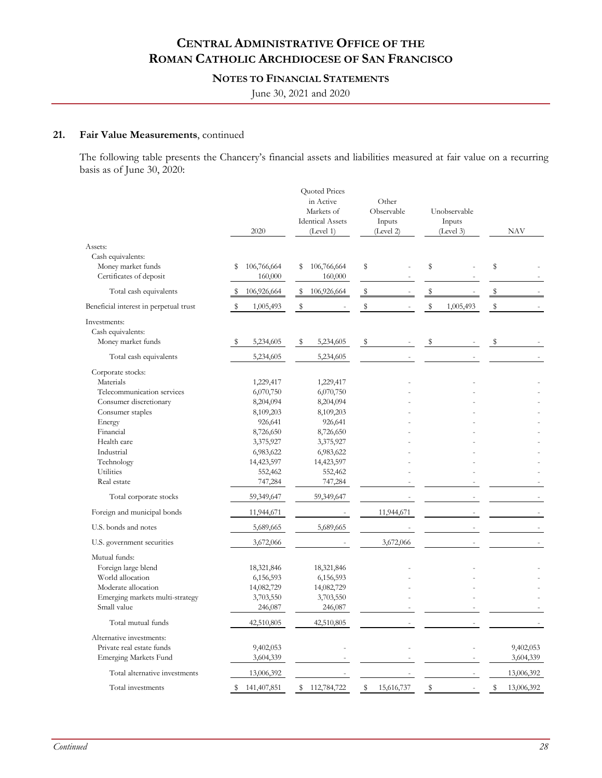**NOTES TO FINANCIAL STATEMENTS**

June 30, 2021 and 2020

## **21. Fair Value Measurements**, continued

The following table presents the Chancery's financial assets and liabilities measured at fair value on a recurring basis as of June 30, 2020:

| Assets:<br>Cash equivalents:<br>106,766,664<br>106,766,664<br>\$<br>\$<br>\$<br>Money market funds<br>\$<br>\$<br>Certificates of deposit<br>160,000<br>160,000<br>$\pmb{\mathbb{S}}$<br>\$<br>\$<br>\$<br>Total cash equivalents<br>106,926,664<br>106,926,664<br>s<br>$\mathbb S$<br>$\,$<br>$\pmb{\mathbb{S}}$<br>${\mathbb S}$<br>Beneficial interest in perpetual trust<br>\$<br>1,005,493<br>1,005,493<br>Investments:<br>Cash equivalents:<br>Money market funds<br>5,234,605<br>\$<br>\$<br>S<br>\$<br>5,234,605<br>\$<br>Total cash equivalents<br>5,234,605<br>5,234,605<br>Corporate stocks:<br>Materials<br>1,229,417<br>1,229,417<br>Telecommunication services<br>6,070,750<br>6,070,750<br>Consumer discretionary<br>8,204,094<br>8,204,094<br>Consumer staples<br>8,109,203<br>8,109,203<br>Energy<br>926,641<br>926,641<br>Financial<br>8,726,650<br>8,726,650<br>Health care<br>3,375,927<br>3,375,927<br>Industrial<br>6,983,622<br>6,983,622<br>Technology<br>14,423,597<br>14,423,597<br>Utilities<br>552,462<br>552,462<br>Real estate<br>747,284<br>747,284<br>Total corporate stocks<br>59,349,647<br>59,349,647<br>Foreign and municipal bonds<br>11,944,671<br>11,944,671<br>5,689,665<br>U.S. bonds and notes<br>5,689,665<br>3,672,066<br>U.S. government securities<br>3,672,066<br>Mutual funds:<br>Foreign large blend<br>18,321,846<br>18,321,846<br>World allocation<br>6,156,593<br>6,156,593<br>Moderate allocation<br>14,082,729<br>14,082,729<br>Emerging markets multi-strategy<br>3,703,550<br>3,703,550<br>Small value<br>246,087<br>246,087 |                    | 2020       | Quoted Prices<br>in Active<br>Markets of<br><b>Identical Assets</b><br>(Level 1) | Other<br>Observable<br>Inputs<br>(Level 2) | Unobservable<br>Inputs<br>(Level 3) | <b>NAV</b> |
|--------------------------------------------------------------------------------------------------------------------------------------------------------------------------------------------------------------------------------------------------------------------------------------------------------------------------------------------------------------------------------------------------------------------------------------------------------------------------------------------------------------------------------------------------------------------------------------------------------------------------------------------------------------------------------------------------------------------------------------------------------------------------------------------------------------------------------------------------------------------------------------------------------------------------------------------------------------------------------------------------------------------------------------------------------------------------------------------------------------------------------------------------------------------------------------------------------------------------------------------------------------------------------------------------------------------------------------------------------------------------------------------------------------------------------------------------------------------------------------------------------------------------------------------------------------------------------------|--------------------|------------|----------------------------------------------------------------------------------|--------------------------------------------|-------------------------------------|------------|
|                                                                                                                                                                                                                                                                                                                                                                                                                                                                                                                                                                                                                                                                                                                                                                                                                                                                                                                                                                                                                                                                                                                                                                                                                                                                                                                                                                                                                                                                                                                                                                                      |                    |            |                                                                                  |                                            |                                     |            |
|                                                                                                                                                                                                                                                                                                                                                                                                                                                                                                                                                                                                                                                                                                                                                                                                                                                                                                                                                                                                                                                                                                                                                                                                                                                                                                                                                                                                                                                                                                                                                                                      |                    |            |                                                                                  |                                            |                                     |            |
|                                                                                                                                                                                                                                                                                                                                                                                                                                                                                                                                                                                                                                                                                                                                                                                                                                                                                                                                                                                                                                                                                                                                                                                                                                                                                                                                                                                                                                                                                                                                                                                      |                    |            |                                                                                  |                                            |                                     |            |
|                                                                                                                                                                                                                                                                                                                                                                                                                                                                                                                                                                                                                                                                                                                                                                                                                                                                                                                                                                                                                                                                                                                                                                                                                                                                                                                                                                                                                                                                                                                                                                                      |                    |            |                                                                                  |                                            |                                     |            |
|                                                                                                                                                                                                                                                                                                                                                                                                                                                                                                                                                                                                                                                                                                                                                                                                                                                                                                                                                                                                                                                                                                                                                                                                                                                                                                                                                                                                                                                                                                                                                                                      |                    |            |                                                                                  |                                            |                                     |            |
|                                                                                                                                                                                                                                                                                                                                                                                                                                                                                                                                                                                                                                                                                                                                                                                                                                                                                                                                                                                                                                                                                                                                                                                                                                                                                                                                                                                                                                                                                                                                                                                      |                    |            |                                                                                  |                                            |                                     |            |
|                                                                                                                                                                                                                                                                                                                                                                                                                                                                                                                                                                                                                                                                                                                                                                                                                                                                                                                                                                                                                                                                                                                                                                                                                                                                                                                                                                                                                                                                                                                                                                                      |                    |            |                                                                                  |                                            |                                     |            |
|                                                                                                                                                                                                                                                                                                                                                                                                                                                                                                                                                                                                                                                                                                                                                                                                                                                                                                                                                                                                                                                                                                                                                                                                                                                                                                                                                                                                                                                                                                                                                                                      |                    |            |                                                                                  |                                            |                                     |            |
|                                                                                                                                                                                                                                                                                                                                                                                                                                                                                                                                                                                                                                                                                                                                                                                                                                                                                                                                                                                                                                                                                                                                                                                                                                                                                                                                                                                                                                                                                                                                                                                      |                    |            |                                                                                  |                                            |                                     |            |
|                                                                                                                                                                                                                                                                                                                                                                                                                                                                                                                                                                                                                                                                                                                                                                                                                                                                                                                                                                                                                                                                                                                                                                                                                                                                                                                                                                                                                                                                                                                                                                                      |                    |            |                                                                                  |                                            |                                     |            |
|                                                                                                                                                                                                                                                                                                                                                                                                                                                                                                                                                                                                                                                                                                                                                                                                                                                                                                                                                                                                                                                                                                                                                                                                                                                                                                                                                                                                                                                                                                                                                                                      |                    |            |                                                                                  |                                            |                                     |            |
|                                                                                                                                                                                                                                                                                                                                                                                                                                                                                                                                                                                                                                                                                                                                                                                                                                                                                                                                                                                                                                                                                                                                                                                                                                                                                                                                                                                                                                                                                                                                                                                      |                    |            |                                                                                  |                                            |                                     |            |
|                                                                                                                                                                                                                                                                                                                                                                                                                                                                                                                                                                                                                                                                                                                                                                                                                                                                                                                                                                                                                                                                                                                                                                                                                                                                                                                                                                                                                                                                                                                                                                                      |                    |            |                                                                                  |                                            |                                     |            |
|                                                                                                                                                                                                                                                                                                                                                                                                                                                                                                                                                                                                                                                                                                                                                                                                                                                                                                                                                                                                                                                                                                                                                                                                                                                                                                                                                                                                                                                                                                                                                                                      |                    |            |                                                                                  |                                            |                                     |            |
|                                                                                                                                                                                                                                                                                                                                                                                                                                                                                                                                                                                                                                                                                                                                                                                                                                                                                                                                                                                                                                                                                                                                                                                                                                                                                                                                                                                                                                                                                                                                                                                      |                    |            |                                                                                  |                                            |                                     |            |
|                                                                                                                                                                                                                                                                                                                                                                                                                                                                                                                                                                                                                                                                                                                                                                                                                                                                                                                                                                                                                                                                                                                                                                                                                                                                                                                                                                                                                                                                                                                                                                                      |                    |            |                                                                                  |                                            |                                     |            |
|                                                                                                                                                                                                                                                                                                                                                                                                                                                                                                                                                                                                                                                                                                                                                                                                                                                                                                                                                                                                                                                                                                                                                                                                                                                                                                                                                                                                                                                                                                                                                                                      |                    |            |                                                                                  |                                            |                                     |            |
|                                                                                                                                                                                                                                                                                                                                                                                                                                                                                                                                                                                                                                                                                                                                                                                                                                                                                                                                                                                                                                                                                                                                                                                                                                                                                                                                                                                                                                                                                                                                                                                      |                    |            |                                                                                  |                                            |                                     |            |
|                                                                                                                                                                                                                                                                                                                                                                                                                                                                                                                                                                                                                                                                                                                                                                                                                                                                                                                                                                                                                                                                                                                                                                                                                                                                                                                                                                                                                                                                                                                                                                                      |                    |            |                                                                                  |                                            |                                     |            |
|                                                                                                                                                                                                                                                                                                                                                                                                                                                                                                                                                                                                                                                                                                                                                                                                                                                                                                                                                                                                                                                                                                                                                                                                                                                                                                                                                                                                                                                                                                                                                                                      |                    |            |                                                                                  |                                            |                                     |            |
|                                                                                                                                                                                                                                                                                                                                                                                                                                                                                                                                                                                                                                                                                                                                                                                                                                                                                                                                                                                                                                                                                                                                                                                                                                                                                                                                                                                                                                                                                                                                                                                      |                    |            |                                                                                  |                                            |                                     |            |
|                                                                                                                                                                                                                                                                                                                                                                                                                                                                                                                                                                                                                                                                                                                                                                                                                                                                                                                                                                                                                                                                                                                                                                                                                                                                                                                                                                                                                                                                                                                                                                                      |                    |            |                                                                                  |                                            |                                     |            |
|                                                                                                                                                                                                                                                                                                                                                                                                                                                                                                                                                                                                                                                                                                                                                                                                                                                                                                                                                                                                                                                                                                                                                                                                                                                                                                                                                                                                                                                                                                                                                                                      |                    |            |                                                                                  |                                            |                                     |            |
|                                                                                                                                                                                                                                                                                                                                                                                                                                                                                                                                                                                                                                                                                                                                                                                                                                                                                                                                                                                                                                                                                                                                                                                                                                                                                                                                                                                                                                                                                                                                                                                      |                    |            |                                                                                  |                                            |                                     |            |
|                                                                                                                                                                                                                                                                                                                                                                                                                                                                                                                                                                                                                                                                                                                                                                                                                                                                                                                                                                                                                                                                                                                                                                                                                                                                                                                                                                                                                                                                                                                                                                                      |                    |            |                                                                                  |                                            |                                     |            |
|                                                                                                                                                                                                                                                                                                                                                                                                                                                                                                                                                                                                                                                                                                                                                                                                                                                                                                                                                                                                                                                                                                                                                                                                                                                                                                                                                                                                                                                                                                                                                                                      |                    |            |                                                                                  |                                            |                                     |            |
|                                                                                                                                                                                                                                                                                                                                                                                                                                                                                                                                                                                                                                                                                                                                                                                                                                                                                                                                                                                                                                                                                                                                                                                                                                                                                                                                                                                                                                                                                                                                                                                      |                    |            |                                                                                  |                                            |                                     |            |
|                                                                                                                                                                                                                                                                                                                                                                                                                                                                                                                                                                                                                                                                                                                                                                                                                                                                                                                                                                                                                                                                                                                                                                                                                                                                                                                                                                                                                                                                                                                                                                                      |                    |            |                                                                                  |                                            |                                     |            |
|                                                                                                                                                                                                                                                                                                                                                                                                                                                                                                                                                                                                                                                                                                                                                                                                                                                                                                                                                                                                                                                                                                                                                                                                                                                                                                                                                                                                                                                                                                                                                                                      |                    |            |                                                                                  |                                            |                                     |            |
|                                                                                                                                                                                                                                                                                                                                                                                                                                                                                                                                                                                                                                                                                                                                                                                                                                                                                                                                                                                                                                                                                                                                                                                                                                                                                                                                                                                                                                                                                                                                                                                      |                    |            |                                                                                  |                                            |                                     |            |
|                                                                                                                                                                                                                                                                                                                                                                                                                                                                                                                                                                                                                                                                                                                                                                                                                                                                                                                                                                                                                                                                                                                                                                                                                                                                                                                                                                                                                                                                                                                                                                                      |                    |            |                                                                                  |                                            |                                     |            |
|                                                                                                                                                                                                                                                                                                                                                                                                                                                                                                                                                                                                                                                                                                                                                                                                                                                                                                                                                                                                                                                                                                                                                                                                                                                                                                                                                                                                                                                                                                                                                                                      |                    |            |                                                                                  |                                            |                                     |            |
|                                                                                                                                                                                                                                                                                                                                                                                                                                                                                                                                                                                                                                                                                                                                                                                                                                                                                                                                                                                                                                                                                                                                                                                                                                                                                                                                                                                                                                                                                                                                                                                      | Total mutual funds | 42,510,805 | 42,510,805                                                                       |                                            |                                     |            |
| Alternative investments:                                                                                                                                                                                                                                                                                                                                                                                                                                                                                                                                                                                                                                                                                                                                                                                                                                                                                                                                                                                                                                                                                                                                                                                                                                                                                                                                                                                                                                                                                                                                                             |                    |            |                                                                                  |                                            |                                     |            |
| Private real estate funds<br>9,402,053<br>9,402,053                                                                                                                                                                                                                                                                                                                                                                                                                                                                                                                                                                                                                                                                                                                                                                                                                                                                                                                                                                                                                                                                                                                                                                                                                                                                                                                                                                                                                                                                                                                                  |                    |            |                                                                                  |                                            |                                     |            |
| Emerging Markets Fund<br>3,604,339<br>3,604,339                                                                                                                                                                                                                                                                                                                                                                                                                                                                                                                                                                                                                                                                                                                                                                                                                                                                                                                                                                                                                                                                                                                                                                                                                                                                                                                                                                                                                                                                                                                                      |                    |            |                                                                                  |                                            |                                     |            |
| Total alternative investments<br>13,006,392<br>13,006,392                                                                                                                                                                                                                                                                                                                                                                                                                                                                                                                                                                                                                                                                                                                                                                                                                                                                                                                                                                                                                                                                                                                                                                                                                                                                                                                                                                                                                                                                                                                            |                    |            |                                                                                  |                                            |                                     |            |
| 141,407,851<br>112,784,722<br>\$<br>15,616,737<br>\$<br>\$<br>13,006,392<br>Total investments<br>\$<br>\$                                                                                                                                                                                                                                                                                                                                                                                                                                                                                                                                                                                                                                                                                                                                                                                                                                                                                                                                                                                                                                                                                                                                                                                                                                                                                                                                                                                                                                                                            |                    |            |                                                                                  |                                            |                                     |            |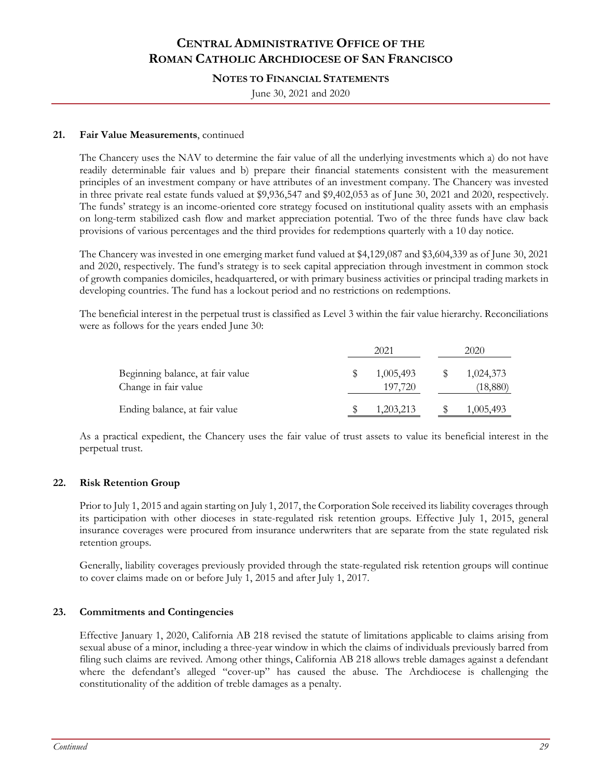## **NOTES TO FINANCIAL STATEMENTS**

June 30, 2021 and 2020

### **21. Fair Value Measurements**, continued

The Chancery uses the NAV to determine the fair value of all the underlying investments which a) do not have readily determinable fair values and b) prepare their financial statements consistent with the measurement principles of an investment company or have attributes of an investment company. The Chancery was invested in three private real estate funds valued at \$9,936,547 and \$9,402,053 as of June 30, 2021 and 2020, respectively. The funds' strategy is an income-oriented core strategy focused on institutional quality assets with an emphasis on long-term stabilized cash flow and market appreciation potential. Two of the three funds have claw back provisions of various percentages and the third provides for redemptions quarterly with a 10 day notice.

The Chancery was invested in one emerging market fund valued at \$4,129,087 and \$3,604,339 as of June 30, 2021 and 2020, respectively. The fund's strategy is to seek capital appreciation through investment in common stock of growth companies domiciles, headquartered, or with primary business activities or principal trading markets in developing countries. The fund has a lockout period and no restrictions on redemptions.

The beneficial interest in the perpetual trust is classified as Level 3 within the fair value hierarchy. Reconciliations were as follows for the years ended June 30:

|                                                          | 2021                 | 2020                   |
|----------------------------------------------------------|----------------------|------------------------|
| Beginning balance, at fair value<br>Change in fair value | 1,005,493<br>197,720 | 1,024,373<br>(18, 880) |
| Ending balance, at fair value                            | 1,203,213            | 1,005,493              |

As a practical expedient, the Chancery uses the fair value of trust assets to value its beneficial interest in the perpetual trust.

# **22. Risk Retention Group**

Prior to July 1, 2015 and again starting on July 1, 2017, the Corporation Sole received its liability coverages through its participation with other dioceses in state-regulated risk retention groups. Effective July 1, 2015, general insurance coverages were procured from insurance underwriters that are separate from the state regulated risk retention groups.

Generally, liability coverages previously provided through the state-regulated risk retention groups will continue to cover claims made on or before July 1, 2015 and after July 1, 2017.

#### **23. Commitments and Contingencies**

Effective January 1, 2020, California AB 218 revised the statute of limitations applicable to claims arising from sexual abuse of a minor, including a three-year window in which the claims of individuals previously barred from filing such claims are revived. Among other things, California AB 218 allows treble damages against a defendant where the defendant's alleged "cover-up" has caused the abuse. The Archdiocese is challenging the constitutionality of the addition of treble damages as a penalty.